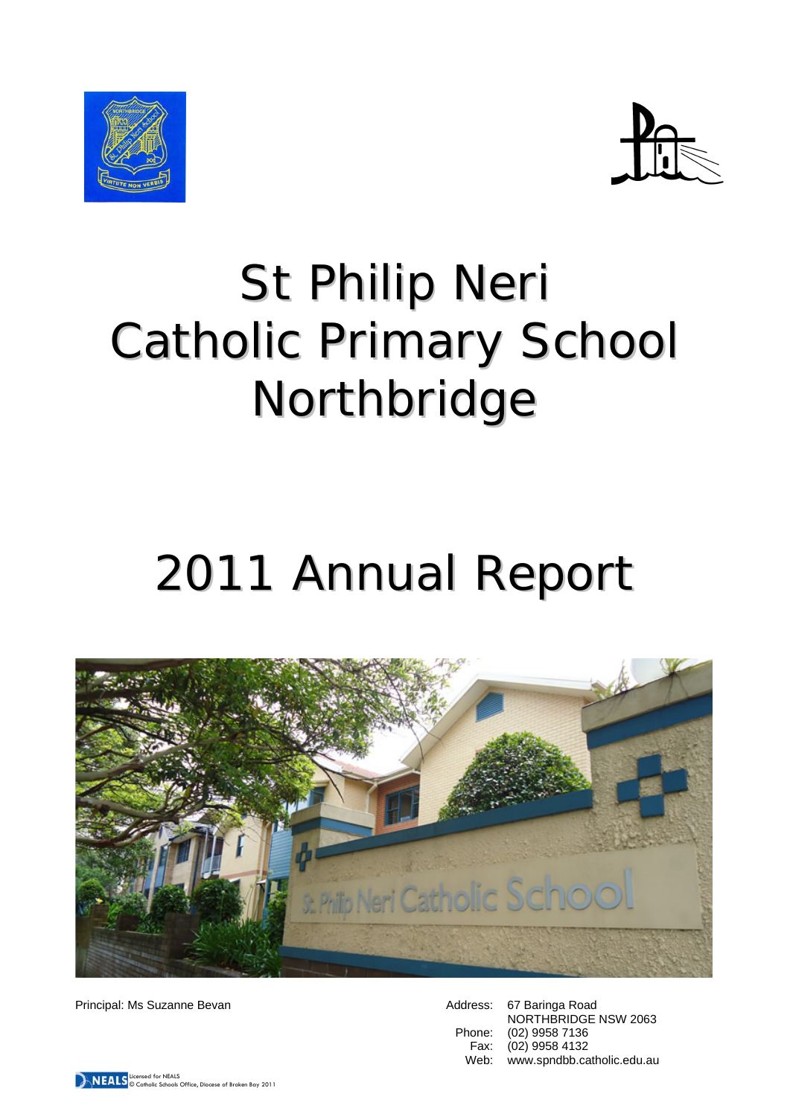



# St Philip Neri Catholic Primary School Northbridge

# 2011 Annual Report



Principal: Ms Suzanne Bevan

| 67 Baringa Road            |
|----------------------------|
| NORTHBRIDGE NSW 2063       |
| (02) 9958 7136             |
| (02) 9958 4132             |
| www.spndbb.catholic.edu.au |
|                            |

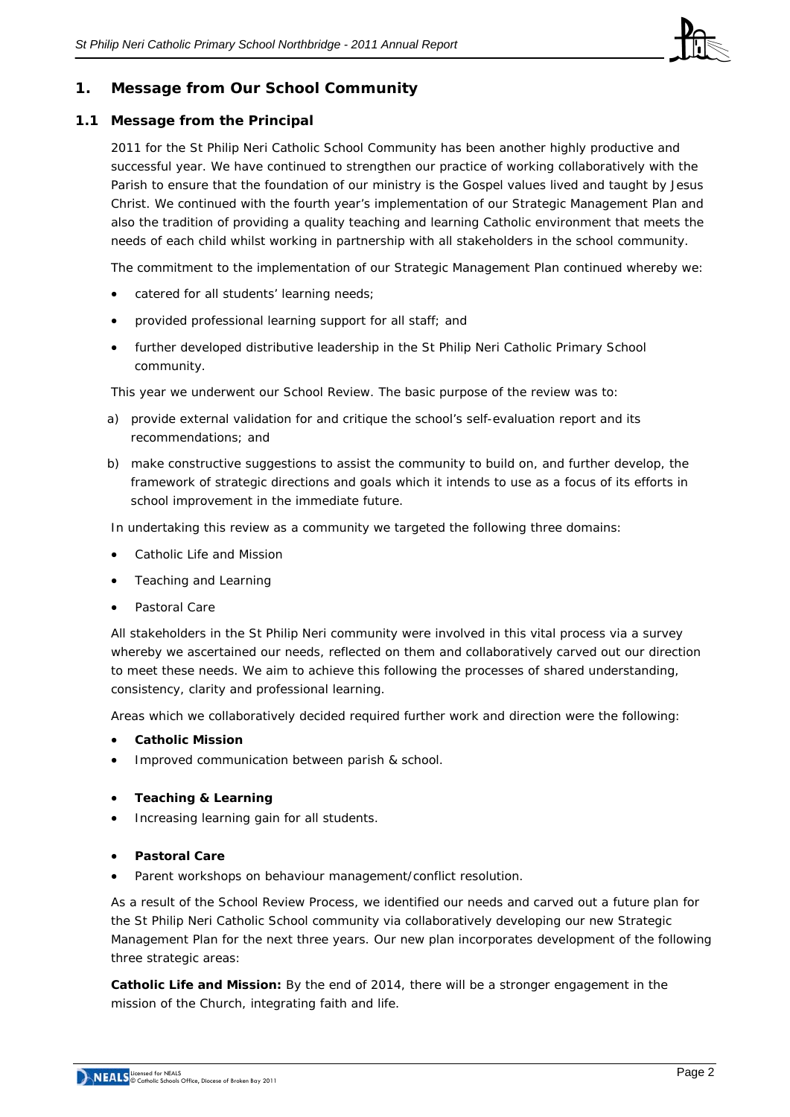

## **1. Message from Our School Community**

## **1.1 Message from the Principal**

2011 for the St Philip Neri Catholic School Community has been another highly productive and successful year. We have continued to strengthen our practice of working collaboratively with the Parish to ensure that the foundation of our ministry is the Gospel values lived and taught by Jesus Christ. We continued with the fourth year's implementation of our Strategic Management Plan and also the tradition of providing a quality teaching and learning Catholic environment that meets the needs of each child whilst working in partnership with all stakeholders in the school community.

The commitment to the implementation of our Strategic Management Plan continued whereby we:

- catered for all students' learning needs;
- provided professional learning support for all staff; and
- further developed distributive leadership in the St Philip Neri Catholic Primary School community.

This year we underwent our School Review. The basic purpose of the review was to:

- a) provide external validation for and critique the school's self-evaluation report and its recommendations; and
- b) make constructive suggestions to assist the community to build on, and further develop, the framework of strategic directions and goals which it intends to use as a focus of its efforts in school improvement in the immediate future.

In undertaking this review as a community we targeted the following three domains:

- Catholic Life and Mission
- Teaching and Learning
- Pastoral Care

All stakeholders in the St Philip Neri community were involved in this vital process via a survey whereby we ascertained our needs, reflected on them and collaboratively carved out our direction to meet these needs. We aim to achieve this following the processes of shared understanding, consistency, clarity and professional learning.

Areas which we collaboratively decided required further work and direction were the following:

- **Catholic Mission**
- Improved communication between parish & school.
- **Teaching & Learning**
- Increasing learning gain for all students.
- **Pastoral Care**
- Parent workshops on behaviour management/conflict resolution.

As a result of the School Review Process, we identified our needs and carved out a future plan for the St Philip Neri Catholic School community via collaboratively developing our new Strategic Management Plan for the next three years. Our new plan incorporates development of the following three strategic areas:

**Catholic Life and Mission:** By the end of 2014, there will be a stronger engagement in the mission of the Church, integrating faith and life.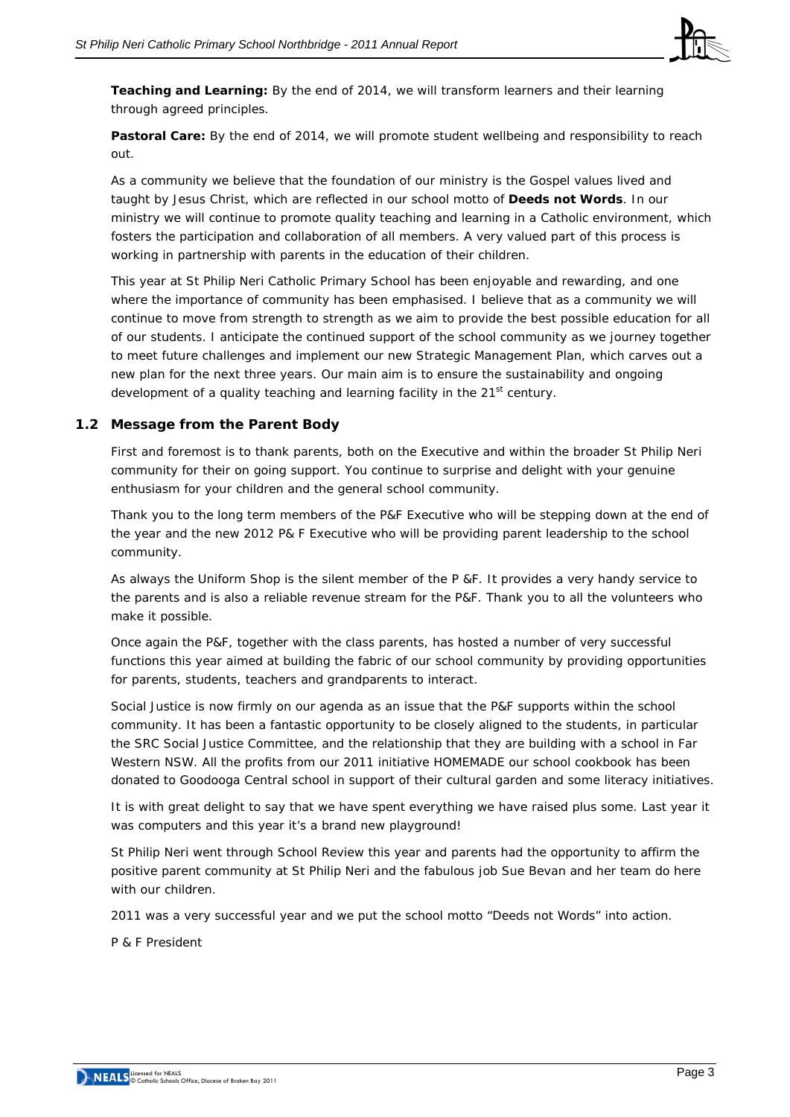

**Teaching and Learning:** By the end of 2014, we will transform learners and their learning through agreed principles.

**Pastoral Care:** By the end of 2014, we will promote student wellbeing and responsibility to reach out.

As a community we believe that the foundation of our ministry is the Gospel values lived and taught by Jesus Christ, which are reflected in our school motto of **Deeds not Words**. In our ministry we will continue to promote quality teaching and learning in a Catholic environment, which fosters the participation and collaboration of all members. A very valued part of this process is working in partnership with parents in the education of their children.

This year at St Philip Neri Catholic Primary School has been enjoyable and rewarding, and one where the importance of community has been emphasised. I believe that as a community we will continue to move from strength to strength as we aim to provide the best possible education for all of our students. I anticipate the continued support of the school community as we journey together to meet future challenges and implement our new Strategic Management Plan, which carves out a new plan for the next three years. Our main aim is to ensure the sustainability and ongoing development of a quality teaching and learning facility in the 21<sup>st</sup> century.

## **1.2 Message from the Parent Body**

First and foremost is to thank parents, both on the Executive and within the broader St Philip Neri community for their on going support. You continue to surprise and delight with your genuine enthusiasm for your children and the general school community.

Thank you to the long term members of the P&F Executive who will be stepping down at the end of the year and the new 2012 P& F Executive who will be providing parent leadership to the school community.

As always the Uniform Shop is the silent member of the P &F. It provides a very handy service to the parents and is also a reliable revenue stream for the P&F. Thank you to all the volunteers who make it possible.

Once again the P&F, together with the class parents, has hosted a number of very successful functions this year aimed at building the fabric of our school community by providing opportunities for parents, students, teachers and grandparents to interact.

Social Justice is now firmly on our agenda as an issue that the P&F supports within the school community. It has been a fantastic opportunity to be closely aligned to the students, in particular the SRC Social Justice Committee, and the relationship that they are building with a school in Far Western NSW. All the profits from our 2011 initiative HOMEMADE our school cookbook has been donated to Goodooga Central school in support of their cultural garden and some literacy initiatives.

It is with great delight to say that we have spent everything we have raised plus some. Last year it was computers and this year it's a brand new playground!

St Philip Neri went through School Review this year and parents had the opportunity to affirm the positive parent community at St Philip Neri and the fabulous job Sue Bevan and her team do here with our children.

2011 was a very successful year and we put the school motto "Deeds not Words" into action.

P & F President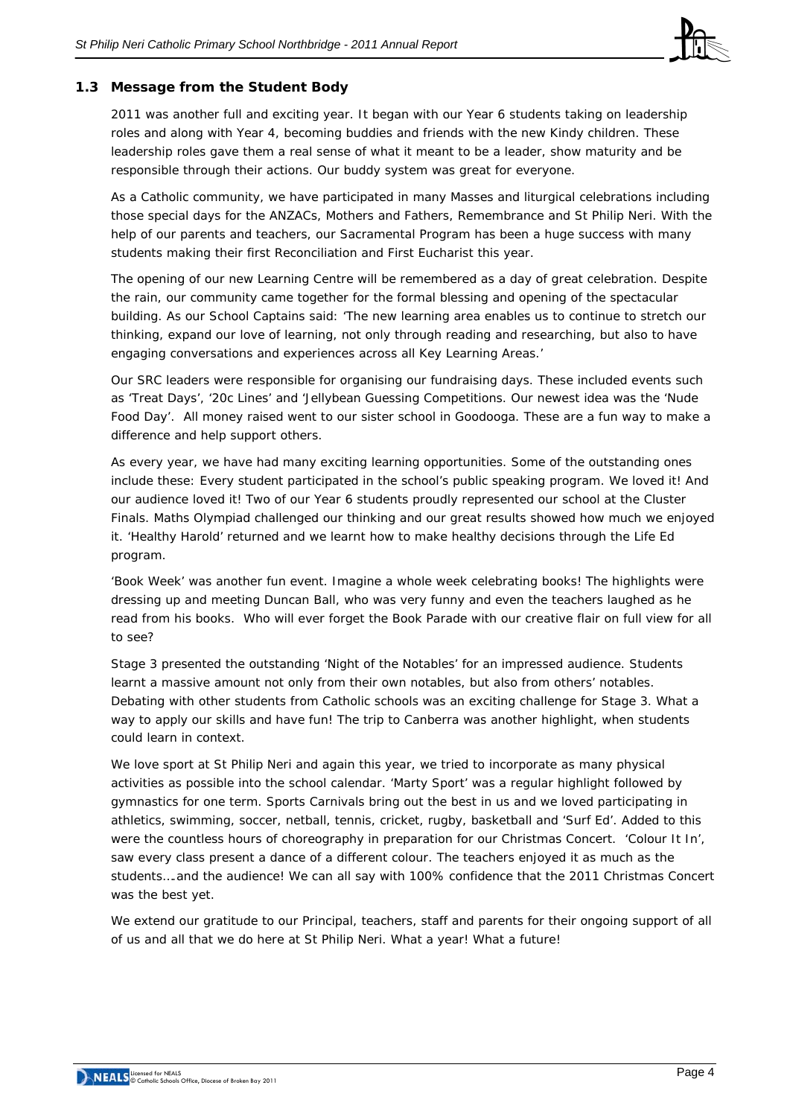

## **1.3 Message from the Student Body**

2011 was another full and exciting year. It began with our Year 6 students taking on leadership roles and along with Year 4, becoming buddies and friends with the new Kindy children. These leadership roles gave them a real sense of what it meant to be a leader, show maturity and be responsible through their actions. Our buddy system was great for everyone.

As a Catholic community, we have participated in many Masses and liturgical celebrations including those special days for the ANZACs, Mothers and Fathers, Remembrance and St Philip Neri. With the help of our parents and teachers, our Sacramental Program has been a huge success with many students making their first Reconciliation and First Eucharist this year.

The opening of our new Learning Centre will be remembered as a day of great celebration. Despite the rain, our community came together for the formal blessing and opening of the spectacular building. As our School Captains said: 'The new learning area enables us to continue to stretch our thinking, expand our love of learning, not only through reading and researching, but also to have engaging conversations and experiences across all Key Learning Areas.'

Our SRC leaders were responsible for organising our fundraising days. These included events such as 'Treat Days', '20c Lines' and 'Jellybean Guessing Competitions. Our newest idea was the 'Nude Food Day'. All money raised went to our sister school in Goodooga. These are a fun way to make a difference and help support others.

As every year, we have had many exciting learning opportunities. Some of the outstanding ones include these: Every student participated in the school's public speaking program. We loved it! And our audience loved it! Two of our Year 6 students proudly represented our school at the Cluster Finals. Maths Olympiad challenged our thinking and our great results showed how much we enjoyed it. 'Healthy Harold' returned and we learnt how to make healthy decisions through the Life Ed program.

'Book Week' was another fun event. Imagine a whole week celebrating books! The highlights were dressing up and meeting Duncan Ball, who was very funny and even the teachers laughed as he read from his books. Who will ever forget the Book Parade with our creative flair on full view for all to see?

Stage 3 presented the outstanding 'Night of the Notables' for an impressed audience. Students learnt a massive amount not only from their own notables, but also from others' notables. Debating with other students from Catholic schools was an exciting challenge for Stage 3. What a way to apply our skills and have fun! The trip to Canberra was another highlight, when students could learn in context.

We love sport at St Philip Neri and again this year, we tried to incorporate as many physical activities as possible into the school calendar. 'Marty Sport' was a regular highlight followed by gymnastics for one term. Sports Carnivals bring out the best in us and we loved participating in athletics, swimming, soccer, netball, tennis, cricket, rugby, basketball and 'Surf Ed'. Added to this were the countless hours of choreography in preparation for our Christmas Concert. 'Colour It In', saw every class present a dance of a different colour. The teachers enjoyed it as much as the students….and the audience! We can all say with 100% confidence that the 2011 Christmas Concert was the best yet.

We extend our gratitude to our Principal, teachers, staff and parents for their ongoing support of all of us and all that we do here at St Philip Neri. What a year! What a future!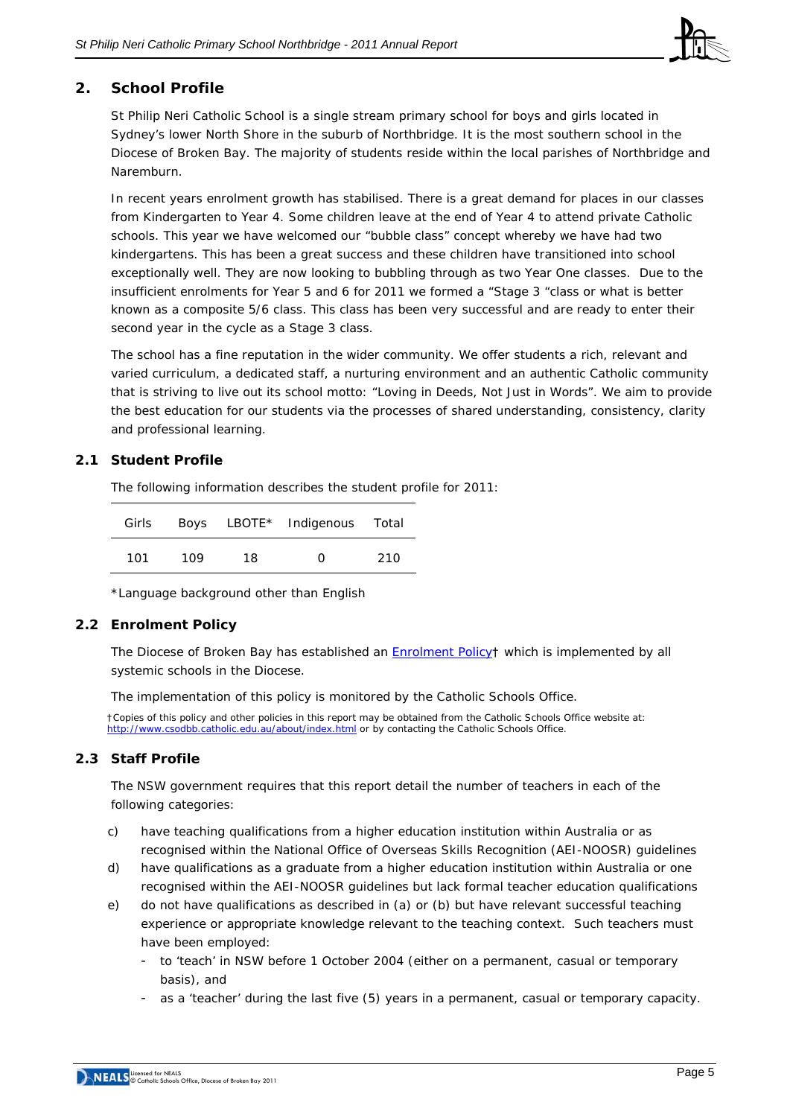

# **2. School Profile**

St Philip Neri Catholic School is a single stream primary school for boys and girls located in Sydney's lower North Shore in the suburb of Northbridge. It is the most southern school in the Diocese of Broken Bay. The majority of students reside within the local parishes of Northbridge and Naremburn.

In recent years enrolment growth has stabilised. There is a great demand for places in our classes from Kindergarten to Year 4. Some children leave at the end of Year 4 to attend private Catholic schools. This year we have welcomed our "bubble class" concept whereby we have had two kindergartens. This has been a great success and these children have transitioned into school exceptionally well. They are now looking to bubbling through as two Year One classes. Due to the insufficient enrolments for Year 5 and 6 for 2011 we formed a "Stage 3 "class or what is better known as a composite 5/6 class. This class has been very successful and are ready to enter their second year in the cycle as a Stage 3 class.

The school has a fine reputation in the wider community. We offer students a rich, relevant and varied curriculum, a dedicated staff, a nurturing environment and an authentic Catholic community that is striving to live out its school motto: "Loving in Deeds, Not Just in Words". We aim to provide the best education for our students via the processes of shared understanding, consistency, clarity and professional learning.

## **2.1 Student Profile**

The following information describes the student profile for 2011:

| Girls |     |     | Boys LBOTE* Indigenous Total |     |
|-------|-----|-----|------------------------------|-----|
| 101   | 109 | 18. | O                            | 210 |

\*Language background other than English

## **2.2 Enrolment Policy**

The Diocese of Broken Bay has established an **[Enrolment Policy](http://www.cso.brokenbay.catholic.edu.au/resources/pdfs/Policy-Enrolment_Apr2006.pdf)**† which is implemented by all systemic schools in the Diocese.

The implementation of this policy is monitored by the Catholic Schools Office.

†Copies of this policy and other policies in this report may be obtained from the Catholic Schools Office website at: <http://www.csodbb.catholic.edu.au/about/index.html>or by contacting the Catholic Schools Office.

## **2.3 Staff Profile**

The NSW government requires that this report detail the number of teachers in each of the following categories:

- c) have teaching qualifications from a higher education institution within Australia or as recognised within the National Office of Overseas Skills Recognition (AEI-NOOSR) guidelines
- d) have qualifications as a graduate from a higher education institution within Australia or one recognised within the AEI-NOOSR guidelines but lack formal teacher education qualifications
- e) do not have qualifications as described in (a) or (b) but have relevant successful teaching experience or appropriate knowledge relevant to the teaching context. Such teachers must have been employed:
	- to 'teach' in NSW before 1 October 2004 (either on a permanent, casual or temporary basis), and
	- as a 'teacher' during the last five (5) years in a permanent, casual or temporary capacity.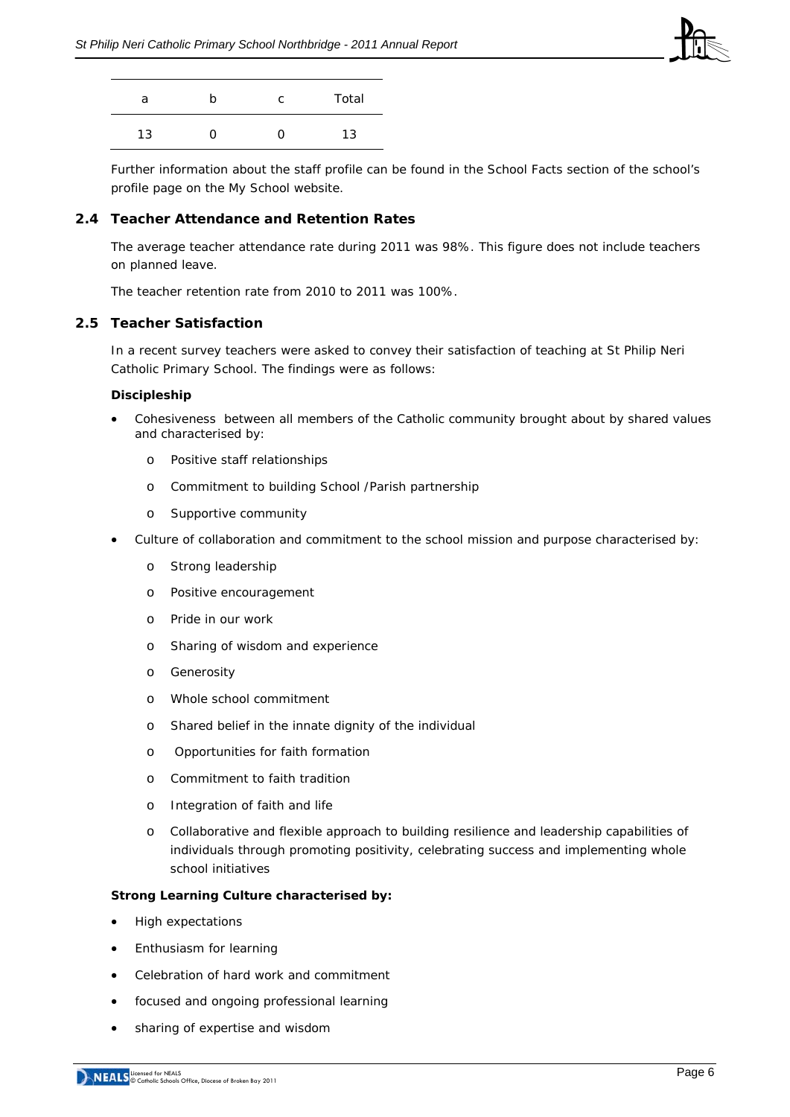

| a  | n | C. | Total |
|----|---|----|-------|
| 13 | 0 |    | 13    |

Further information about the staff profile can be found in the School Facts section of the school's profile page on the *My School* website.

## **2.4 Teacher Attendance and Retention Rates**

The average teacher attendance rate during 2011 was 98%. This figure does not include teachers on planned leave.

The teacher retention rate from 2010 to 2011 was 100%.

## **2.5 Teacher Satisfaction**

In a recent survey teachers were asked to convey their satisfaction of teaching at St Philip Neri Catholic Primary School. The findings were as follows:

#### **Discipleship**

- Cohesiveness between all members of the Catholic community brought about by shared values and characterised by:
	- o Positive staff relationships
	- o Commitment to building School /Parish partnership
	- o Supportive community
- Culture of collaboration and commitment to the school mission and purpose characterised by:
	- o Strong leadership
	- o Positive encouragement
	- o Pride in our work
	- o Sharing of wisdom and experience
	- o Generosity
	- o Whole school commitment
	- o Shared belief in the innate dignity of the individual
	- o Opportunities for faith formation
	- o Commitment to faith tradition
	- o Integration of faith and life
	- o Collaborative and flexible approach to building resilience and leadership capabilities of individuals through promoting positivity, celebrating success and implementing whole school initiatives

#### **Strong Learning Culture characterised by:**

- High expectations
- Enthusiasm for learning
- Celebration of hard work and commitment
- focused and ongoing professional learning
- sharing of expertise and wisdom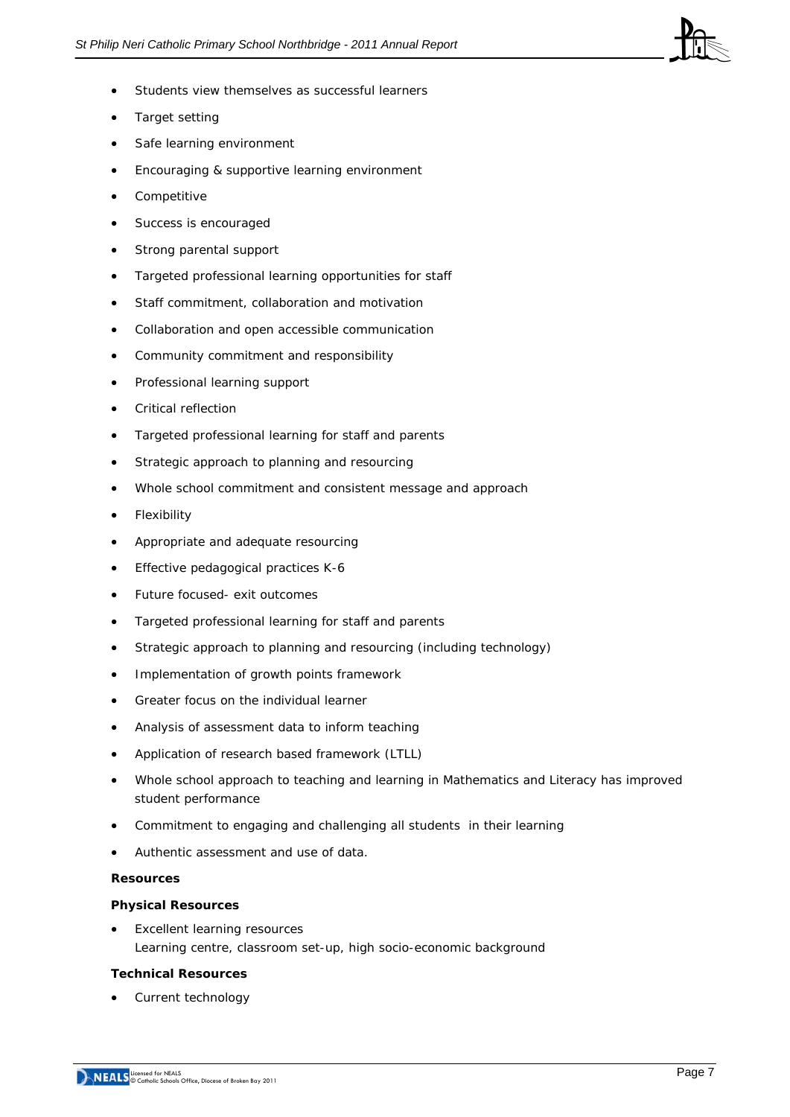

- Students view themselves as successful learners
- Target setting
- Safe learning environment
- Encouraging & supportive learning environment
- Competitive
- Success is encouraged
- Strong parental support
- Targeted professional learning opportunities for staff
- Staff commitment, collaboration and motivation
- Collaboration and open accessible communication
- Community commitment and responsibility
- Professional learning support
- Critical reflection
- Targeted professional learning for staff and parents
- Strategic approach to planning and resourcing
- Whole school commitment and consistent message and approach
- **Flexibility**
- Appropriate and adequate resourcing
- Effective pedagogical practices K-6
- Future focused- exit outcomes
- Targeted professional learning for staff and parents
- Strategic approach to planning and resourcing (including technology)
- Implementation of growth points framework
- Greater focus on the individual learner
- Analysis of assessment data to inform teaching
- Application of research based framework (LTLL)
- Whole school approach to teaching and learning in Mathematics and Literacy has improved student performance
- Commitment to engaging and challenging all students in their learning
- Authentic assessment and use of data.

## **Resources**

## **Physical Resources**

**Excellent learning resources** *Learning centre, classroom set-up, high socio-economic background* 

## **Technical Resources**

• Current technology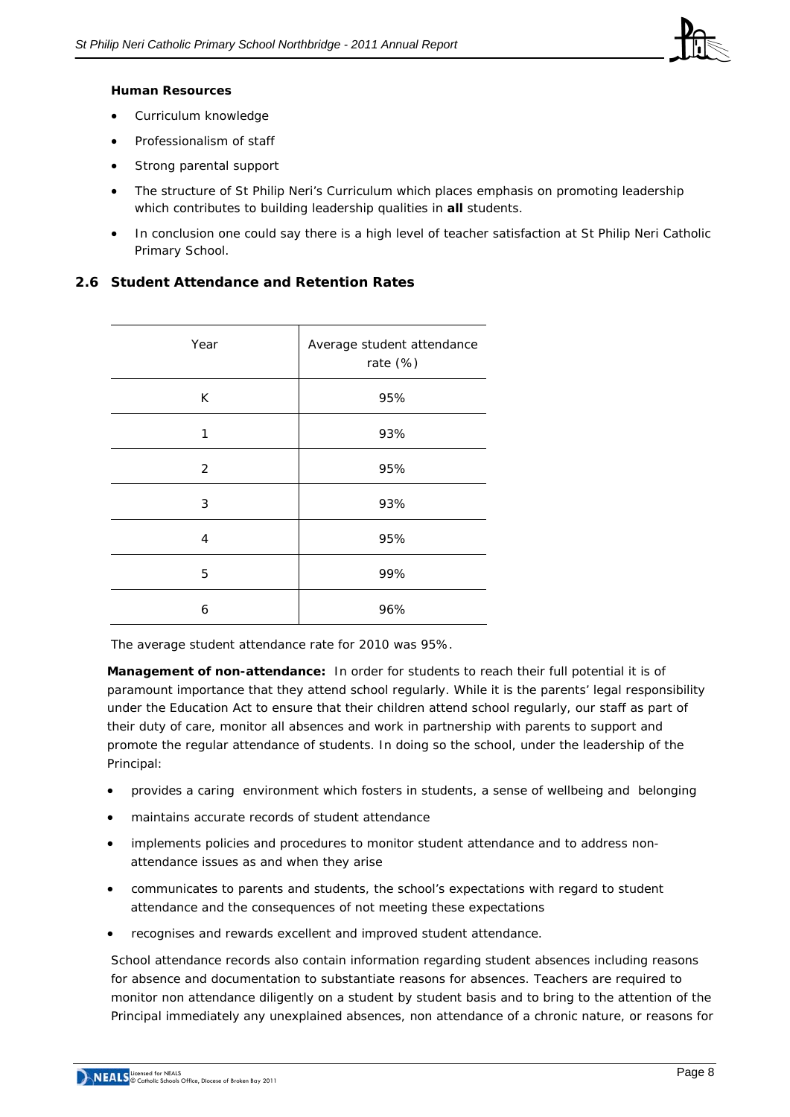

#### **Human Resources**

- Curriculum knowledge
- Professionalism of staff
- Strong parental support
- The structure of St Philip Neri's Curriculum which places emphasis on promoting leadership which contributes to building leadership qualities in **all** students.
- In conclusion one could say there is a high level of teacher satisfaction at St Philip Neri Catholic Primary School.

## **2.6 Student Attendance and Retention Rates**

| Year           | Average student attendance<br>rate (%) |
|----------------|----------------------------------------|
| K              | 95%                                    |
| $\mathbf{1}$   | 93%                                    |
| 2              | 95%                                    |
| 3              | 93%                                    |
| $\overline{4}$ | 95%                                    |
| 5              | 99%                                    |
| 6              | 96%                                    |

The average student attendance rate for 2010 was 95%.

**Management of non-attendance:** In order for students to reach their full potential it is of paramount importance that they attend school regularly. While it is the parents' legal responsibility under the Education Act to ensure that their children attend school regularly, our staff as part of their duty of care, monitor all absences and work in partnership with parents to support and promote the regular attendance of students. In doing so the school, under the leadership of the Principal:

- provides a caring environment which fosters in students, a sense of wellbeing and belonging
- maintains accurate records of student attendance
- implements policies and procedures to monitor student attendance and to address nonattendance issues as and when they arise
- communicates to parents and students, the school's expectations with regard to student attendance and the consequences of not meeting these expectations
- recognises and rewards excellent and improved student attendance.

School attendance records also contain information regarding student absences including reasons for absence and documentation to substantiate reasons for absences. Teachers are required to monitor non attendance diligently on a student by student basis and to bring to the attention of the Principal immediately any unexplained absences, non attendance of a chronic nature, or reasons for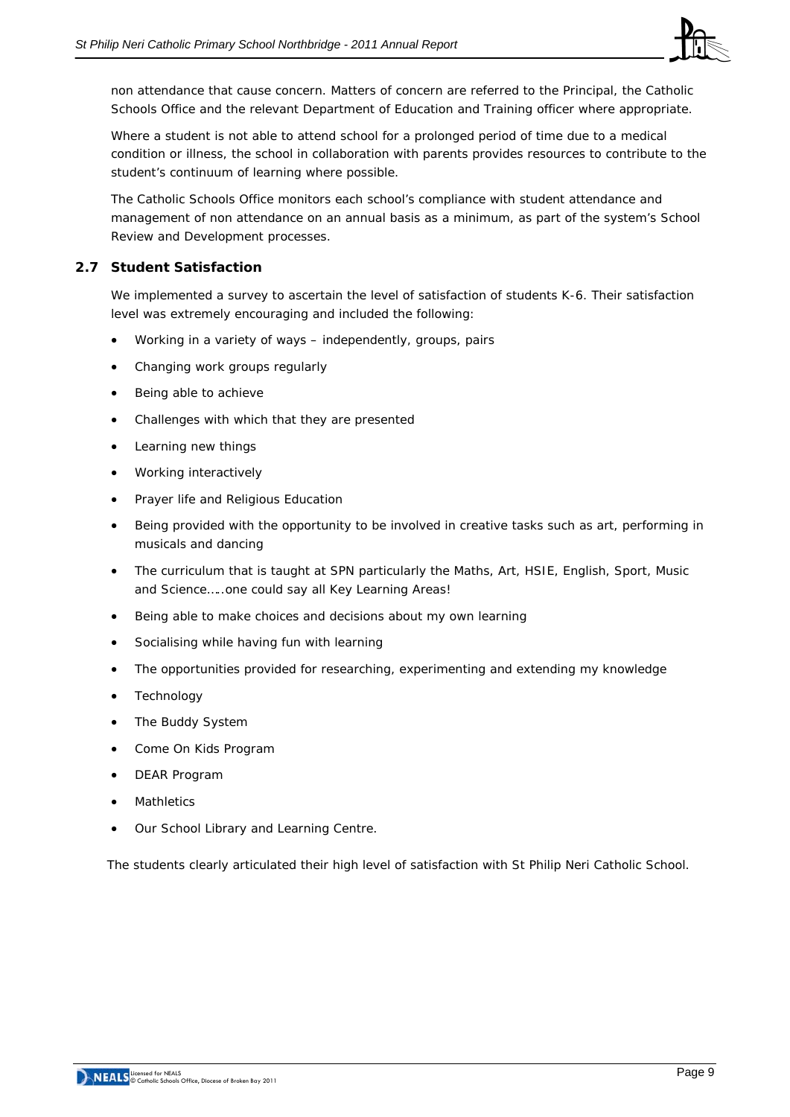

non attendance that cause concern. Matters of concern are referred to the Principal, the Catholic Schools Office and the relevant Department of Education and Training officer where appropriate.

Where a student is not able to attend school for a prolonged period of time due to a medical condition or illness, the school in collaboration with parents provides resources to contribute to the student's continuum of learning where possible.

The Catholic Schools Office monitors each school's compliance with student attendance and management of non attendance on an annual basis as a minimum, as part of the system's School Review and Development processes.

## **2.7 Student Satisfaction**

We implemented a survey to ascertain the level of satisfaction of students K-6. Their satisfaction level was extremely encouraging and included the following:

- Working in a variety of ways independently, groups, pairs
- Changing work groups regularly
- Being able to achieve
- Challenges with which that they are presented
- Learning new things
- Working interactively
- Prayer life and Religious Education
- Being provided with the opportunity to be involved in creative tasks such as art, performing in musicals and dancing
- The curriculum that is taught at SPN particularly the Maths, Art, HSIE, English, Sport, Music and Science…..*one could say all Key Learning Areas!*
- Being able to make choices and decisions about my own learning
- Socialising while having fun with learning
- The opportunities provided for researching, experimenting and extending my knowledge
- **Technology**
- The Buddy System
- Come On Kids Program
- DEAR Program
- **Mathletics**
- Our School Library and Learning Centre.

The students clearly articulated their high level of satisfaction with St Philip Neri Catholic School.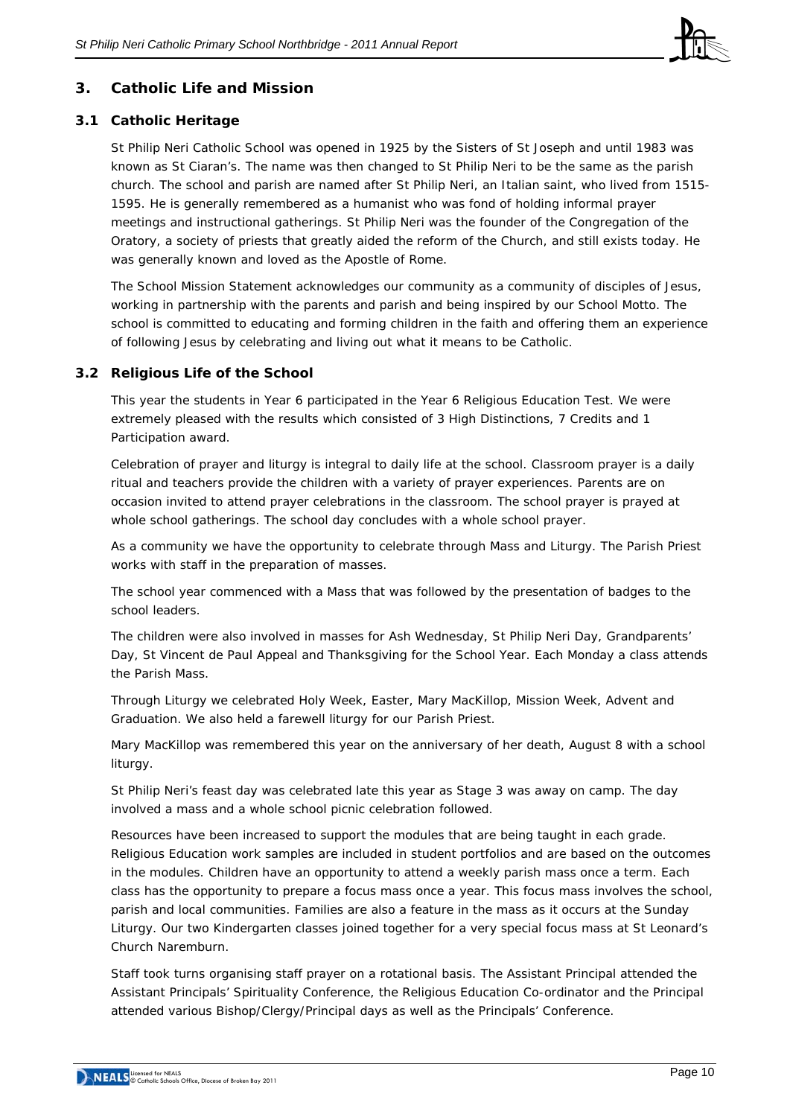

# **3. Catholic Life and Mission**

## **3.1 Catholic Heritage**

St Philip Neri Catholic School was opened in 1925 by the Sisters of St Joseph and until 1983 was known as St Ciaran's. The name was then changed to St Philip Neri to be the same as the parish church. The school and parish are named after St Philip Neri, an Italian saint, who lived from 1515- 1595. He is generally remembered as a humanist who was fond of holding informal prayer meetings and instructional gatherings. St Philip Neri was the founder of the Congregation of the Oratory, a society of priests that greatly aided the reform of the Church, and still exists today. He was generally known and loved as the Apostle of Rome.

The School Mission Statement acknowledges our community as a community of disciples of Jesus, working in partnership with the parents and parish and being inspired by our School Motto. The school is committed to educating and forming children in the faith and offering them an experience of following Jesus by celebrating and living out what it means to be Catholic.

## **3.2 Religious Life of the School**

This year the students in Year 6 participated in the Year 6 Religious Education Test. We were extremely pleased with the results which consisted of 3 High Distinctions, 7 Credits and 1 Participation award.

Celebration of prayer and liturgy is integral to daily life at the school. Classroom prayer is a daily ritual and teachers provide the children with a variety of prayer experiences. Parents are on occasion invited to attend prayer celebrations in the classroom. The school prayer is prayed at whole school gatherings. The school day concludes with a whole school prayer.

As a community we have the opportunity to celebrate through Mass and Liturgy. The Parish Priest works with staff in the preparation of masses.

The school year commenced with a Mass that was followed by the presentation of badges to the school leaders.

The children were also involved in masses for Ash Wednesday, St Philip Neri Day, Grandparents' Day, St Vincent de Paul Appeal and Thanksgiving for the School Year. Each Monday a class attends the Parish Mass.

Through Liturgy we celebrated Holy Week, Easter, Mary MacKillop, Mission Week, Advent and Graduation. We also held a farewell liturgy for our Parish Priest.

Mary MacKillop was remembered this year on the anniversary of her death, August 8 with a school liturgy.

St Philip Neri's feast day was celebrated late this year as Stage 3 was away on camp. The day involved a mass and a whole school picnic celebration followed.

Resources have been increased to support the modules that are being taught in each grade. Religious Education work samples are included in student portfolios and are based on the outcomes in the modules. Children have an opportunity to attend a weekly parish mass once a term. Each class has the opportunity to prepare a focus mass once a year. This focus mass involves the school, parish and local communities. Families are also a feature in the mass as it occurs at the Sunday Liturgy. Our two Kindergarten classes joined together for a very special focus mass at St Leonard's Church Naremburn.

Staff took turns organising staff prayer on a rotational basis. The Assistant Principal attended the Assistant Principals' Spirituality Conference, the Religious Education Co-ordinator and the Principal attended various Bishop/Clergy/Principal days as well as the Principals' Conference.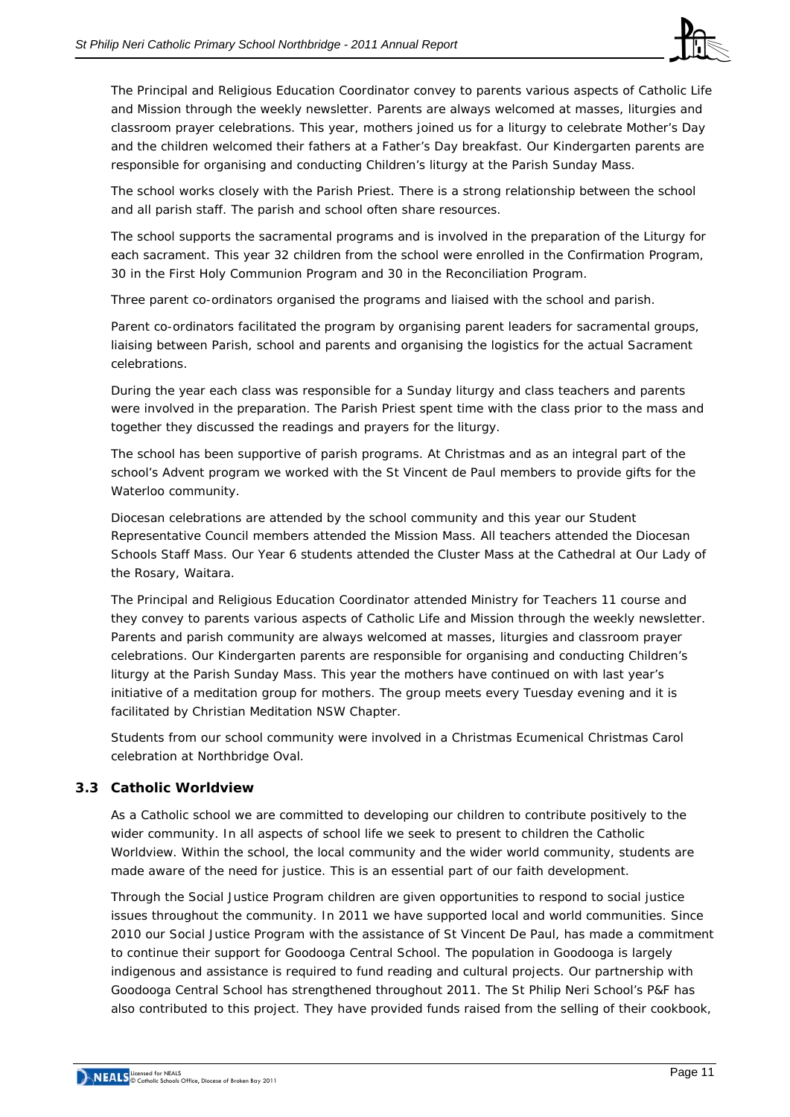

The Principal and Religious Education Coordinator convey to parents various aspects of Catholic Life and Mission through the weekly newsletter. Parents are always welcomed at masses, liturgies and classroom prayer celebrations. This year, mothers joined us for a liturgy to celebrate Mother's Day and the children welcomed their fathers at a Father's Day breakfast. Our Kindergarten parents are responsible for organising and conducting Children's liturgy at the Parish Sunday Mass*.* 

The school works closely with the Parish Priest. There is a strong relationship between the school and all parish staff. The parish and school often share resources.

The school supports the sacramental programs and is involved in the preparation of the Liturgy for each sacrament. This year 32 children from the school were enrolled in the Confirmation Program, 30 in the First Holy Communion Program and 30 in the Reconciliation Program.

Three parent co-ordinators organised the programs and liaised with the school and parish.

Parent co-ordinators facilitated the program by organising parent leaders for sacramental groups, liaising between Parish, school and parents and organising the logistics for the actual Sacrament celebrations.

During the year each class was responsible for a Sunday liturgy and class teachers and parents were involved in the preparation. The Parish Priest spent time with the class prior to the mass and together they discussed the readings and prayers for the liturgy.

The school has been supportive of parish programs. At Christmas and as an integral part of the school's Advent program we worked with the St Vincent de Paul members to provide gifts for the Waterloo community.

Diocesan celebrations are attended by the school community and this year our Student Representative Council members attended the Mission Mass. All teachers attended the Diocesan Schools Staff Mass. Our Year 6 students attended the Cluster Mass at the Cathedral at Our Lady of the Rosary, Waitara.

The Principal and Religious Education Coordinator attended Ministry for Teachers 11 course and they convey to parents various aspects of Catholic Life and Mission through the weekly newsletter. Parents and parish community are always welcomed at masses, liturgies and classroom prayer celebrations. Our Kindergarten parents are responsible for organising and conducting Children's liturgy at the Parish Sunday Mass. This year the mothers have continued on with last year's initiative of a meditation group for mothers. The group meets every Tuesday evening and it is facilitated by Christian Meditation NSW Chapter.

Students from our school community were involved in a Christmas Ecumenical Christmas Carol celebration at Northbridge Oval.

## **3.3 Catholic Worldview**

As a Catholic school we are committed to developing our children to contribute positively to the wider community. In all aspects of school life we seek to present to children the Catholic Worldview. Within the school, the local community and the wider world community, students are made aware of the need for justice. This is an essential part of our faith development.

Through the Social Justice Program children are given opportunities to respond to social justice issues throughout the community. In 2011 we have supported local and world communities. Since 2010 our Social Justice Program with the assistance of St Vincent De Paul, has made a commitment to continue their support for Goodooga Central School. The population in Goodooga is largely indigenous and assistance is required to fund reading and cultural projects. Our partnership with Goodooga Central School has strengthened throughout 2011. The St Philip Neri School's P&F has also contributed to this project. They have provided funds raised from the selling of their cookbook,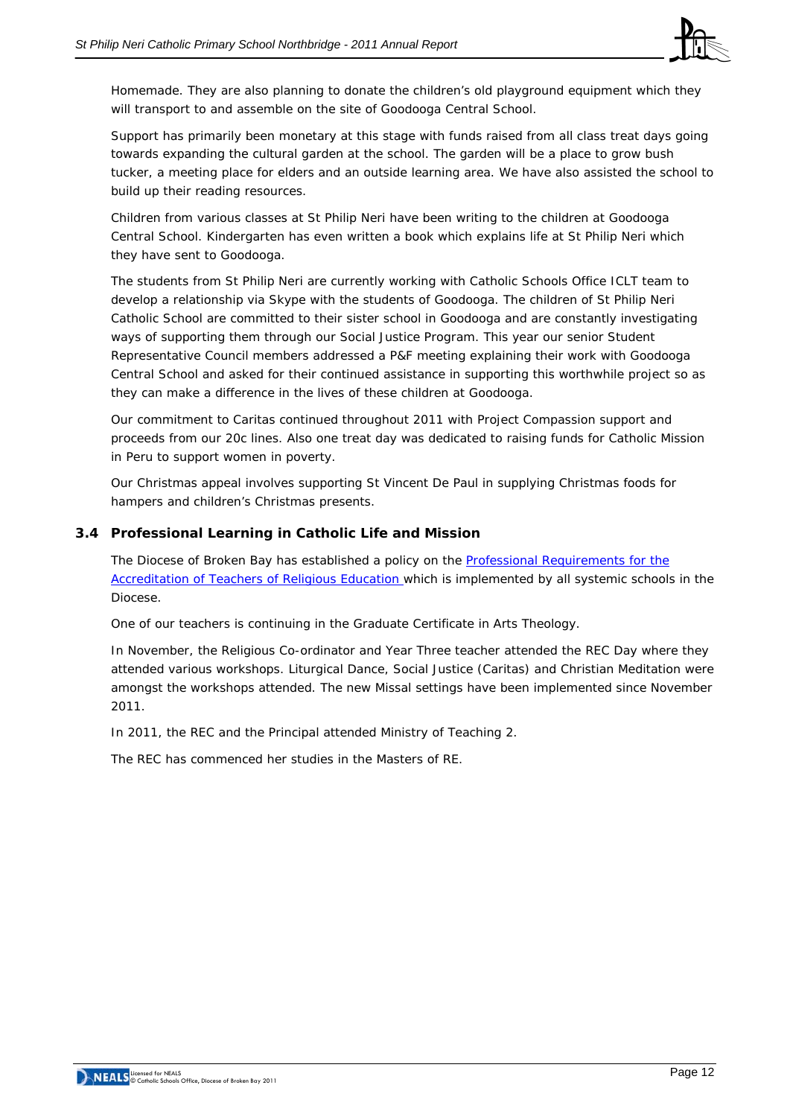

Homemade. They are also planning to donate the children's old playground equipment which they will transport to and assemble on the site of Goodooga Central School.

Support has primarily been monetary at this stage with funds raised from all class treat days going towards expanding the cultural garden at the school. The garden will be a place to grow bush tucker, a meeting place for elders and an outside learning area. We have also assisted the school to build up their reading resources.

Children from various classes at St Philip Neri have been writing to the children at Goodooga Central School. Kindergarten has even written a book which explains life at St Philip Neri which they have sent to Goodooga.

The students from St Philip Neri are currently working with Catholic Schools Office ICLT team to develop a relationship via Skype with the students of Goodooga. The children of St Philip Neri Catholic School are committed to their sister school in Goodooga and are constantly investigating ways of supporting them through our Social Justice Program. This year our senior Student Representative Council members addressed a P&F meeting explaining their work with Goodooga Central School and asked for their continued assistance in supporting this worthwhile project so as they can make a difference in the lives of these children at Goodooga.

Our commitment to Caritas continued throughout 2011 with Project Compassion support and proceeds from our 20c lines. Also one treat day was dedicated to raising funds for Catholic Mission in Peru to support women in poverty.

Our Christmas appeal involves supporting St Vincent De Paul in supplying Christmas foods for hampers and children's Christmas presents.

## **3.4 Professional Learning in Catholic Life and Mission**

The Diocese of Broken Bay has established a policy on the [Professional Requirements for the](http://www.cso.brokenbay.catholic.edu.au/resources/pdfs/Policy-Rqs_Accrd_Tchrs_RE.pdf)  [Accreditation of Teachers of Religious Education](http://www.cso.brokenbay.catholic.edu.au/resources/pdfs/Policy-Rqs_Accrd_Tchrs_RE.pdf) which is implemented by all systemic schools in the Diocese.

One of our teachers is continuing in the Graduate Certificate in Arts Theology.

In November, the Religious Co-ordinator and Year Three teacher attended the REC Day where they attended various workshops. Liturgical Dance, Social Justice (Caritas) and Christian Meditation were amongst the workshops attended. The new Missal settings have been implemented since November 2011.

In 2011, the REC and the Principal attended Ministry of Teaching 2.

The REC has commenced her studies in the Masters of RE.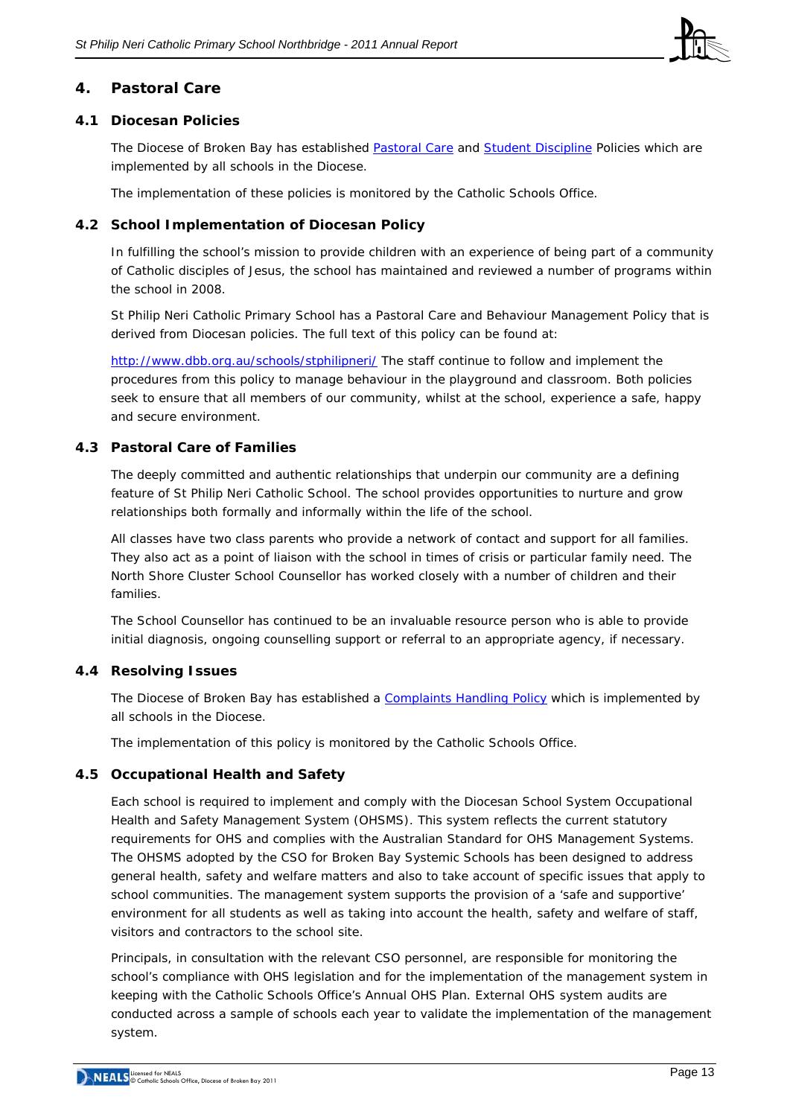

## **4. Pastoral Care**

## **4.1 Diocesan Policies**

The Diocese of Broken Bay has established [Pastoral Care](http://www.cso.brokenbay.catholic.edu.au/resources/pdfs/Policy-Pastoral_Care_Oct05.pdf) and [Student Discipline](http://www.cso.brokenbay.catholic.edu.au/resources/pdfs/Policy_-_Student_Discipline_Policy_Oct05.pdf) Policies which are implemented by all schools in the Diocese.

The implementation of these policies is monitored by the Catholic Schools Office.

## **4.2 School Implementation of Diocesan Policy**

In fulfilling the school's mission to provide children with an experience of being part of a community of Catholic disciples of Jesus, the school has maintained and reviewed a number of programs within the school in 2008.

St Philip Neri Catholic Primary School has a Pastoral Care and Behaviour Management Policy that is derived from Diocesan policies. The full text of this policy can be found at:

<http://www.dbb.org.au/schools/stphilipneri/> The staff continue to follow and implement the procedures from this policy to manage behaviour in the playground and classroom. Both policies seek to ensure that all members of our community, whilst at the school, experience a safe, happy and secure environment.

## **4.3 Pastoral Care of Families**

The deeply committed and authentic relationships that underpin our community are a defining feature of St Philip Neri Catholic School. The school provides opportunities to nurture and grow relationships both formally and informally within the life of the school.

All classes have two class parents who provide a network of contact and support for all families. They also act as a point of liaison with the school in times of crisis or particular family need. The North Shore Cluster School Counsellor has worked closely with a number of children and their families.

The School Counsellor has continued to be an invaluable resource person who is able to provide initial diagnosis, ongoing counselling support or referral to an appropriate agency, if necessary.

## **4.4 Resolving Issues**

The Diocese of Broken Bay has established a [Complaints Handling Policy](http://www.cso.brokenbay.catholic.edu.au/resources/pdfs/Policy-Complaints_Handling.pdf) which is implemented by all schools in the Diocese.

The implementation of this policy is monitored by the Catholic Schools Office.

## **4.5 Occupational Health and Safety**

Each school is required to implement and comply with the Diocesan School System Occupational Health and Safety Management System (OHSMS). This system reflects the current statutory requirements for OHS and complies with the Australian Standard for OHS Management Systems. The OHSMS adopted by the CSO for Broken Bay Systemic Schools has been designed to address general health, safety and welfare matters and also to take account of specific issues that apply to school communities. The management system supports the provision of a 'safe and supportive' environment for all students as well as taking into account the health, safety and welfare of staff, visitors and contractors to the school site.

Principals, in consultation with the relevant CSO personnel, are responsible for monitoring the school's compliance with OHS legislation and for the implementation of the management system in keeping with the Catholic Schools Office's Annual OHS Plan. External OHS system audits are conducted across a sample of schools each year to validate the implementation of the management system.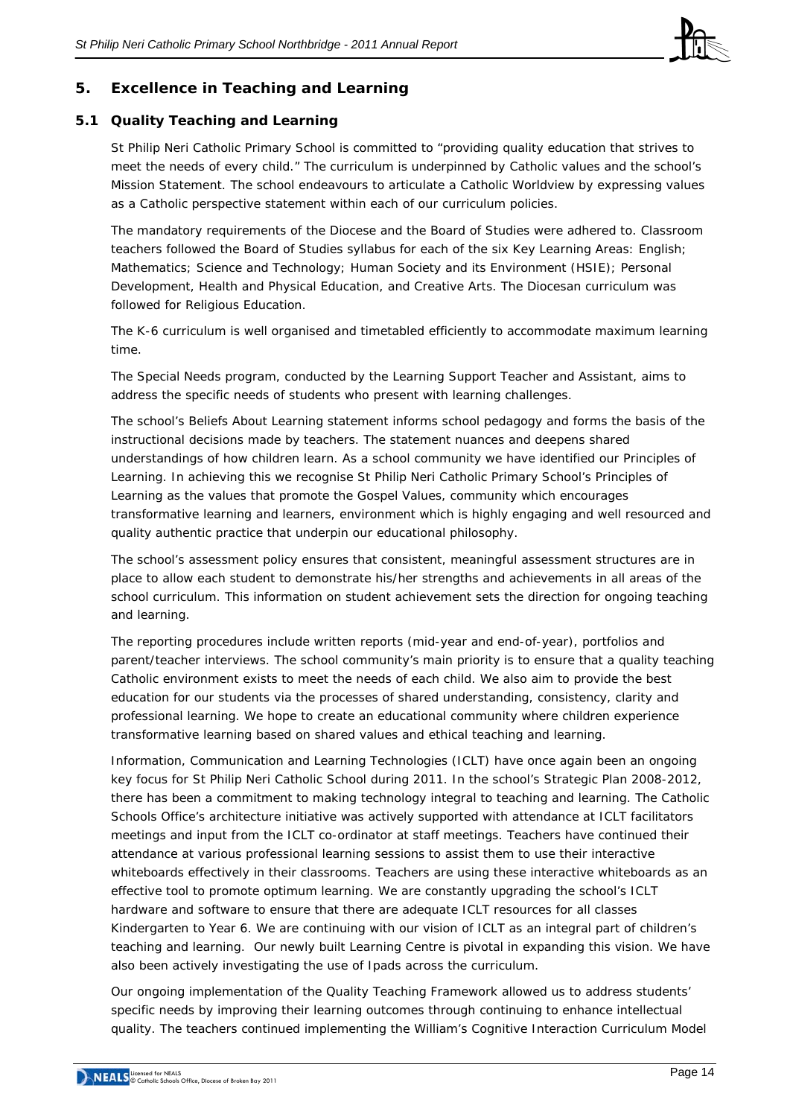

# **5. Excellence in Teaching and Learning**

## **5.1 Quality Teaching and Learning**

St Philip Neri Catholic Primary School is committed to "providing quality education that strives to meet the needs of every child." The curriculum is underpinned by Catholic values and the school's Mission Statement. The school endeavours to articulate a Catholic Worldview by expressing values as a Catholic perspective statement within each of our curriculum policies.

The mandatory requirements of the Diocese and the Board of Studies were adhered to. Classroom teachers followed the Board of Studies syllabus for each of the six Key Learning Areas: English; Mathematics; Science and Technology; Human Society and its Environment (HSIE); Personal Development, Health and Physical Education, and Creative Arts. The Diocesan curriculum was followed for Religious Education.

The K-6 curriculum is well organised and timetabled efficiently to accommodate maximum learning time.

The Special Needs program, conducted by the Learning Support Teacher and Assistant, aims to address the specific needs of students who present with learning challenges.

The school's Beliefs About Learning statement informs school pedagogy and forms the basis of the instructional decisions made by teachers. The statement nuances and deepens shared understandings of how children learn. As a school community we have identified our Principles of Learning. In achieving this we recognise St Philip Neri Catholic Primary School's Principles of Learning as the *values that promote the Gospel Values, community which encourages transformative learning and learners, environment which is highly engaging and well resourced and quality authentic practice that underpin our educational philosophy.* 

The school's assessment policy ensures that consistent, meaningful assessment structures are in place to allow each student to demonstrate his/her strengths and achievements in all areas of the school curriculum. This information on student achievement sets the direction for ongoing teaching and learning.

The reporting procedures include written reports (mid-year and end-of-year), portfolios and parent/teacher interviews. The school community's main priority is to ensure that a quality teaching Catholic environment exists to meet the needs of each child. We also aim to provide the best education for our students via the processes of shared understanding, consistency, clarity and professional learning. We hope to create an educational community where children experience transformative learning based on shared values and ethical teaching and learning.

Information, Communication and Learning Technologies (ICLT) have once again been an ongoing key focus for St Philip Neri Catholic School during 2011. In the school's Strategic Plan 2008-2012, there has been a commitment to making technology integral to teaching and learning. The Catholic Schools Office's architecture initiative was actively supported with attendance at ICLT facilitators meetings and input from the ICLT co-ordinator at staff meetings. Teachers have continued their attendance at various professional learning sessions to assist them to use their interactive whiteboards effectively in their classrooms. Teachers are using these interactive whiteboards as an effective tool to promote optimum learning. We are constantly upgrading the school's ICLT hardware and software to ensure that there are adequate ICLT resources for all classes Kindergarten to Year 6. We are continuing with our vision of ICLT as an integral part of children's teaching and learning. Our newly built Learning Centre is pivotal in expanding this vision. We have also been actively investigating the use of Ipads across the curriculum.

Our ongoing implementation of the Quality Teaching Framework allowed us to address students' specific needs by improving their learning outcomes through continuing to enhance intellectual quality. The teachers continued implementing the William's Cognitive Interaction Curriculum Model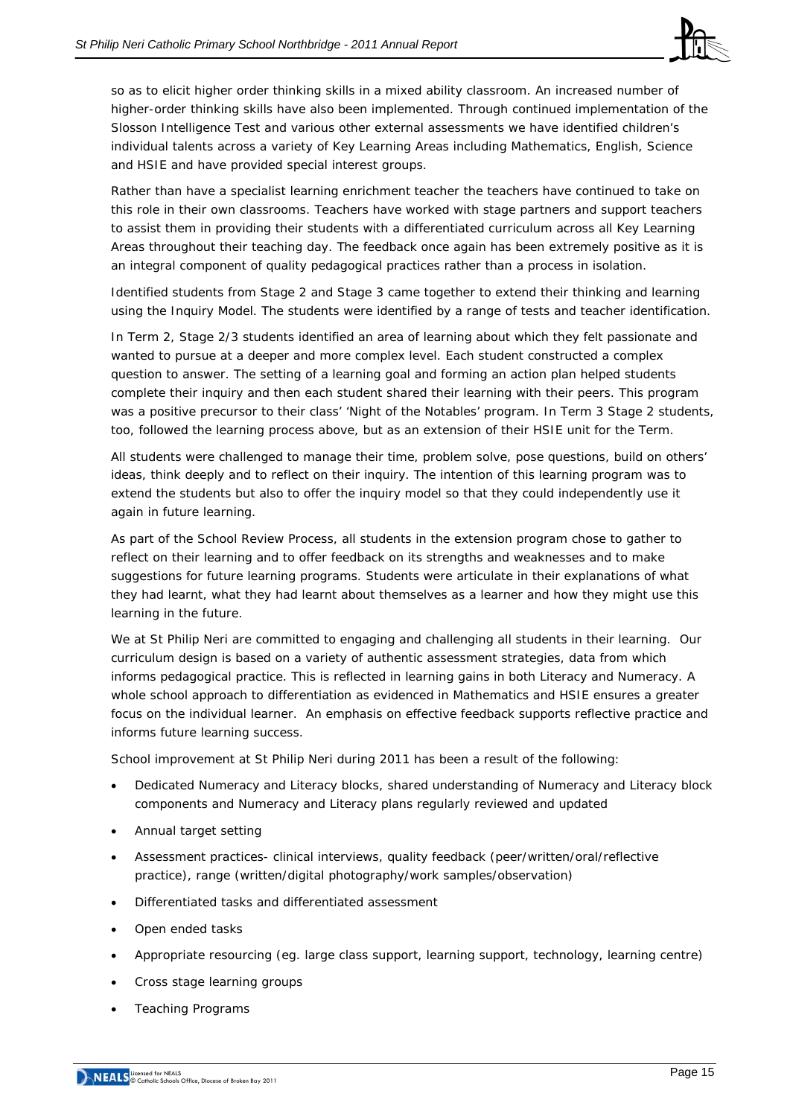

so as to elicit higher order thinking skills in a mixed ability classroom. An increased number of higher-order thinking skills have also been implemented. Through continued implementation of the Slosson Intelligence Test and various other external assessments we have identified children's individual talents across a variety of Key Learning Areas including Mathematics, English, Science and HSIE and have provided special interest groups.

Rather than have a specialist learning enrichment teacher the teachers have continued to take on this role in their own classrooms. Teachers have worked with stage partners and support teachers to assist them in providing their students with a differentiated curriculum across all Key Learning Areas throughout their teaching day. The feedback once again has been extremely positive as it is an integral component of quality pedagogical practices rather than a process in isolation.

Identified students from Stage 2 and Stage 3 came together to extend their thinking and learning using the Inquiry Model. The students were identified by a range of tests and teacher identification.

In Term 2, Stage 2/3 students identified an area of learning about which they felt passionate and wanted to pursue at a deeper and more complex level. Each student constructed a complex question to answer. The setting of a learning goal and forming an action plan helped students complete their inquiry and then each student shared their learning with their peers. This program was a positive precursor to their class' 'Night of the Notables' program. In Term 3 Stage 2 students, too, followed the learning process above, but as an extension of their HSIE unit for the Term.

All students were challenged to manage their time, problem solve, pose questions, build on others' ideas, think deeply and to reflect on their inquiry. The intention of this learning program was to extend the students but also to offer the inquiry model so that they could independently use it again in future learning.

As part of the School Review Process, all students in the extension program chose to gather to reflect on their learning and to offer feedback on its strengths and weaknesses and to make suggestions for future learning programs. Students were articulate in their explanations of what they had learnt, what they had learnt about themselves as a learner and how they might use this learning in the future.

We at St Philip Neri are committed to engaging and challenging all students in their learning. Our curriculum design is based on a variety of authentic assessment strategies, data from which informs pedagogical practice. This is reflected in learning gains in both Literacy and Numeracy. A whole school approach to differentiation as evidenced in Mathematics and HSIE ensures a greater focus on the individual learner. An emphasis on effective feedback supports reflective practice and informs future learning success.

School improvement at St Philip Neri during 2011 has been a result of the following:

- Dedicated Numeracy and Literacy blocks, shared understanding of Numeracy and Literacy block components and Numeracy and Literacy plans regularly reviewed and updated
- Annual target setting
- Assessment practices- clinical interviews, quality feedback (peer/written/oral/reflective practice), range (written/digital photography/work samples/observation)
- Differentiated tasks and differentiated assessment
- Open ended tasks
- Appropriate resourcing (eg. large class support, learning support, technology, learning centre)
- Cross stage learning groups
- Teaching Programs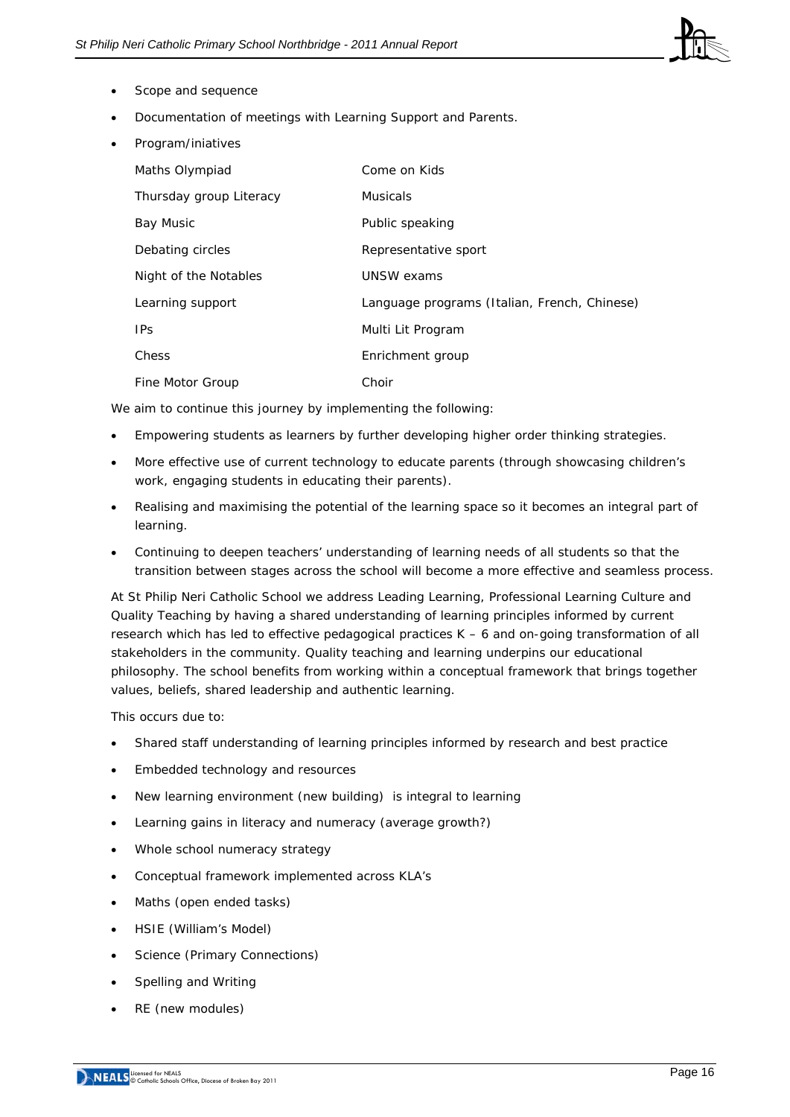

- Scope and sequence
- Documentation of meetings with Learning Support and Parents.
- Program/iniatives

| Maths Olympiad          | Come on Kids                                 |
|-------------------------|----------------------------------------------|
| Thursday group Literacy | <b>Musicals</b>                              |
| Bay Music               | Public speaking                              |
| Debating circles        | Representative sport                         |
| Night of the Notables   | UNSW exams                                   |
| Learning support        | Language programs (Italian, French, Chinese) |
| <b>IPS</b>              | Multi Lit Program                            |
| Chess                   | Enrichment group                             |
| Fine Motor Group        | Choir                                        |

We aim to continue this journey by implementing the following:

- Empowering students as learners by further developing higher order thinking strategies.
- More effective use of current technology to educate parents (through showcasing children's work, engaging students in educating their parents).
- Realising and maximising the potential of the learning space so it becomes an integral part of learning.
- Continuing to deepen teachers' understanding of learning needs of all students so that the transition between stages across the school will become a more effective and seamless process.

At St Philip Neri Catholic School we address Leading Learning, Professional Learning Culture and Quality Teaching by having a shared understanding of learning principles informed by current research which has led to effective pedagogical practices K – 6 and on-going transformation of all stakeholders in the community. Quality teaching and learning underpins our educational philosophy. The school benefits from working within a conceptual framework that brings together values, beliefs, shared leadership and authentic learning.

This occurs due to:

- Shared staff understanding of learning principles informed by research and best practice
- Embedded technology and resources
- New learning environment (new building) is integral to learning
- Learning gains in literacy and numeracy (average growth?)
- Whole school numeracy strategy
- Conceptual framework implemented across KLA's
- Maths (open ended tasks)
- HSIE (William's Model)
- Science (Primary Connections)
- Spelling and Writing
- RE (new modules)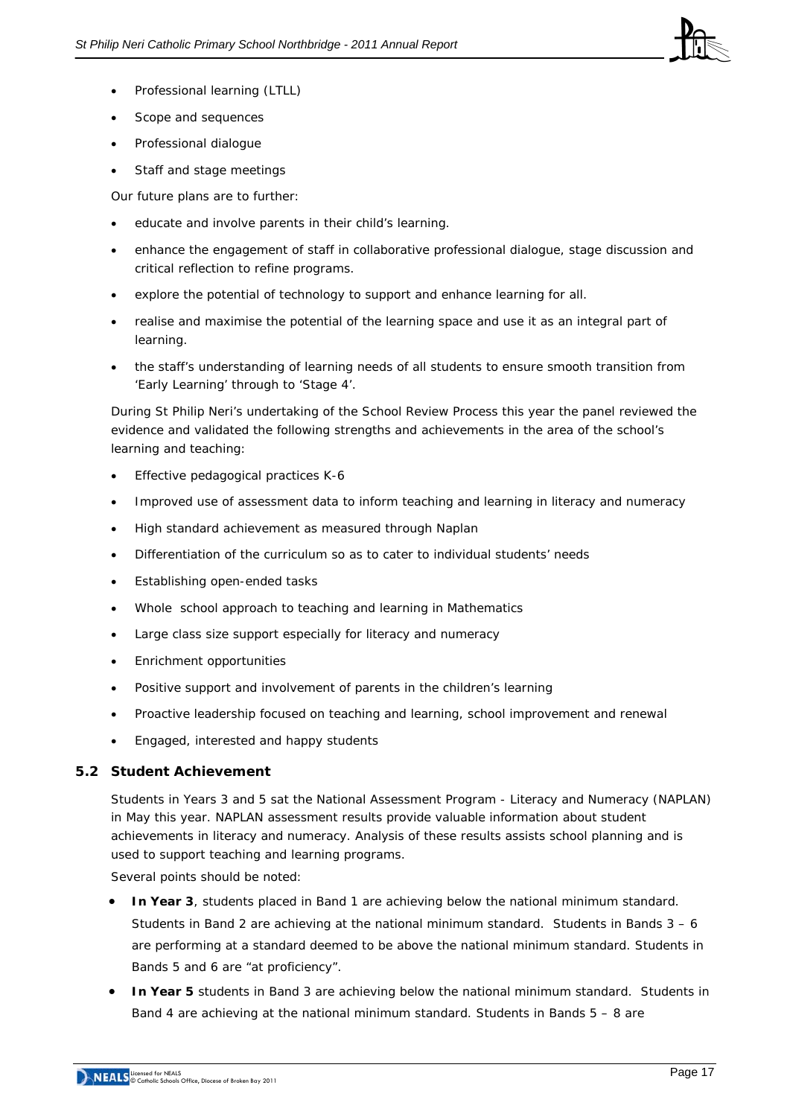

- Professional learning (LTLL)
- Scope and sequences
- Professional dialogue
- Staff and stage meetings

Our future plans are to further:

- educate and involve parents in their child's learning.
- enhance the engagement of staff in collaborative professional dialogue, stage discussion and critical reflection to refine programs.
- explore the potential of technology to support and enhance learning for all.
- realise and maximise the potential of the learning space and use it as an integral part of learning.
- the staff's understanding of learning needs of all students to ensure smooth transition from 'Early Learning' through to 'Stage 4'.

During St Philip Neri's undertaking of the School Review Process this year the panel reviewed the evidence and validated the following strengths and achievements in the area of the school's learning and teaching:

- Effective pedagogical practices K-6
- Improved use of assessment data to inform teaching and learning in literacy and numeracy
- High standard achievement as measured through Naplan
- Differentiation of the curriculum so as to cater to individual students' needs
- Establishing open-ended tasks
- Whole school approach to teaching and learning in Mathematics
- Large class size support especially for literacy and numeracy
- Enrichment opportunities
- Positive support and involvement of parents in the children's learning
- Proactive leadership focused on teaching and learning, school improvement and renewal
- Engaged, interested and happy students

## **5.2 Student Achievement**

Students in Years 3 and 5 sat the National Assessment Program - Literacy and Numeracy (NAPLAN) in May this year. NAPLAN assessment results provide valuable information about student achievements in literacy and numeracy. Analysis of these results assists school planning and is used to support teaching and learning programs.

Several points should be noted:

- **In Year 3**, students placed in Band 1 are achieving below the national minimum standard. Students in Band 2 are achieving at the national minimum standard. Students in Bands  $3 - 6$ are performing at a standard deemed to be above the national minimum standard. Students in Bands 5 and 6 are "at proficiency".
- **In Year 5** students in Band 3 are achieving below the national minimum standard. Students in Band 4 are achieving at the national minimum standard. Students in Bands 5 – 8 are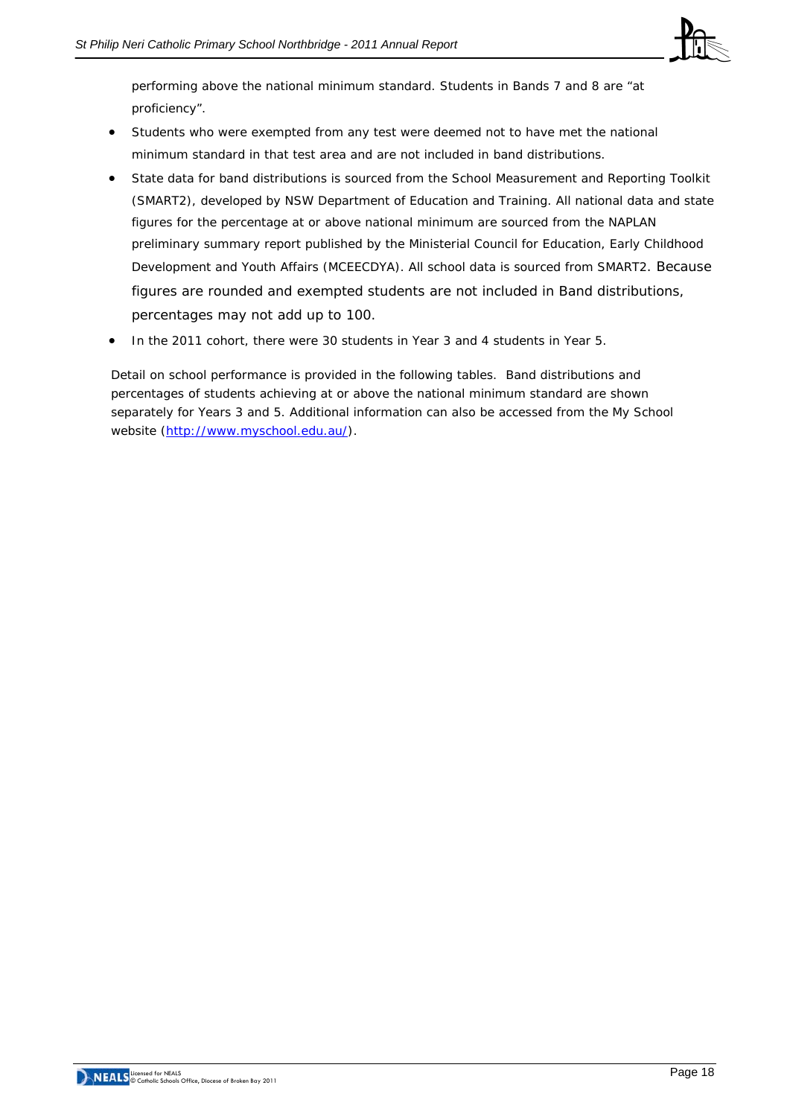

performing above the national minimum standard. Students in Bands 7 and 8 are "at proficiency".

- Students who were exempted from any test were deemed not to have met the national minimum standard in that test area and are not included in band distributions.
- State data for band distributions is sourced from the School Measurement and Reporting Toolkit (SMART2), developed by NSW Department of Education and Training. All national data and state figures for the percentage at or above national minimum are sourced from the NAPLAN preliminary summary report published by the Ministerial Council for Education, Early Childhood Development and Youth Affairs (MCEECDYA). All school data is sourced from SMART2. Because figures are rounded and exempted students are not included in Band distributions, percentages may not add up to 100.
- In the 2011 cohort, there were 30 students in Year 3 and 4 students in Year 5.

Detail on school performance is provided in the following tables. Band distributions and percentages of students achieving at or above the national minimum standard are shown separately for Years 3 and 5. Additional information can also be accessed from the *My School* website [\(http://www.myschool.edu.au/](http://www.myschool.edu.au/)).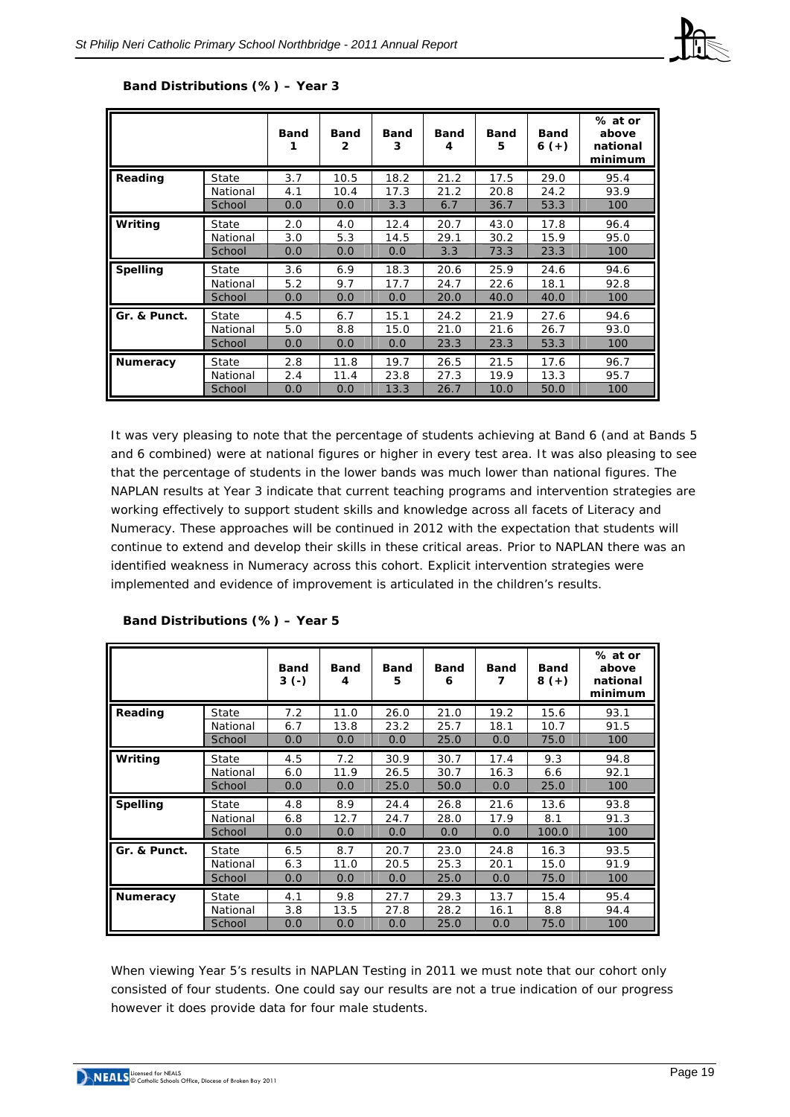|                 |          | <b>Band</b> | Band<br>2 | Band<br>3 | Band<br>4 | <b>Band</b><br>5 | <b>Band</b><br>$6 (+)$ | % at or<br>above<br>national<br>minimum |
|-----------------|----------|-------------|-----------|-----------|-----------|------------------|------------------------|-----------------------------------------|
| Reading         | State    | 3.7         | 10.5      | 18.2      | 21.2      | 17.5             | 29.0                   | 95.4                                    |
|                 | National | 4.1         | 10.4      | 17.3      | 21.2      | 20.8             | 24.2                   | 93.9                                    |
|                 | School   | 0.0         | 0.0       | 3.3       | 6.7       | 36.7             | 53.3                   | 100                                     |
| Writing         | State    | 2.0         | 4.0       | 12.4      | 20.7      | 43.0             | 17.8                   | 96.4                                    |
|                 | National | 3.0         | 5.3       | 14.5      | 29.1      | 30.2             | 15.9                   | 95.0                                    |
|                 | School   | 0.0         | 0.0       | 0.0       | 3.3       | 73.3             | 23.3                   | 100                                     |
| <b>Spelling</b> | State    | 3.6         | 6.9       | 18.3      | 20.6      | 25.9             | 24.6                   | 94.6                                    |
|                 | National | 5.2         | 9.7       | 17.7      | 24.7      | 22.6             | 18.1                   | 92.8                                    |
|                 | School   | 0.0         | 0.0       | 0.0       | 20.0      | 40.0             | 40.0                   | 100                                     |
| Gr. & Punct.    | State    | 4.5         | 6.7       | 15.1      | 24.2      | 21.9             | 27.6                   | 94.6                                    |
|                 | National | 5.0         | 8.8       | 15.0      | 21.0      | 21.6             | 26.7                   | 93.0                                    |
|                 | School   | 0.0         | 0.0       | 0.0       | 23.3      | 23.3             | 53.3                   | 100                                     |
| <b>Numeracy</b> | State    | 2.8         | 11.8      | 19.7      | 26.5      | 21.5             | 17.6                   | 96.7                                    |
|                 | National | 2.4         | 11.4      | 23.8      | 27.3      | 19.9             | 13.3                   | 95.7                                    |
|                 | School   | 0.0         | 0.0       | 13.3      | 26.7      | 10.0             | 50.0                   | 100                                     |

#### **Band Distributions (%) – Year 3**

It was very pleasing to note that the percentage of students achieving at Band 6 (and at Bands 5 and 6 combined) were at national figures or higher in every test area. It was also pleasing to see that the percentage of students in the lower bands was much lower than national figures. The NAPLAN results at Year 3 indicate that current teaching programs and intervention strategies are working effectively to support student skills and knowledge across all facets of Literacy and Numeracy. These approaches will be continued in 2012 with the expectation that students will continue to extend and develop their skills in these critical areas. Prior to NAPLAN there was an identified weakness in Numeracy across this cohort. Explicit intervention strategies were implemented and evidence of improvement is articulated in the children's results.

|                 |              | <b>Band</b><br>$3( - )$ | <b>Band</b><br>4 | <b>Band</b><br>5 | <b>Band</b><br>6 | <b>Band</b><br>7 | <b>Band</b><br>$8 (+)$ | % at or<br>above<br>national<br>minimum |
|-----------------|--------------|-------------------------|------------------|------------------|------------------|------------------|------------------------|-----------------------------------------|
| Reading         | State        | 7.2                     | 11.0             | 26.0             | 21.0             | 19.2             | 15.6                   | 93.1                                    |
|                 | National     | 6.7                     | 13.8             | 23.2             | 25.7             | 18.1             | 10.7                   | 91.5                                    |
|                 | School       | 0.0                     | 0.0              | 0.0              | 25.0             | 0.0              | 75.0                   | 100                                     |
| Writing         | State        | 4.5                     | 7.2              | 30.9             | 30.7             | 17.4             | 9.3                    | 94.8                                    |
|                 | National     | 6.0                     | 11.9             | 26.5             | 30.7             | 16.3             | 6.6                    | 92.1                                    |
|                 | School       | 0.0                     | 0.0              | 25.0             | 50.0             | 0.0              | 25.0                   | 100                                     |
| <b>Spelling</b> | State        | 4.8                     | 8.9              | 24.4             | 26.8             | 21.6             | 13.6                   | 93.8                                    |
|                 | National     | 6.8                     | 12.7             | 24.7             | 28.0             | 17.9             | 8.1                    | 91.3                                    |
|                 | School       | 0.0                     | 0.0              | 0.0              | 0.0              | 0.0              | 100.0                  | 100                                     |
| Gr. & Punct.    | <b>State</b> | 6.5                     | 8.7              | 20.7             | 23.0             | 24.8             | 16.3                   | 93.5                                    |
|                 | National     | 6.3                     | 11.0             | 20.5             | 25.3             | 20.1             | 15.0                   | 91.9                                    |
|                 | School       | 0.0                     | 0.0              | 0.0              | 25.0             | 0.0              | 75.0                   | 100                                     |
| <b>Numeracy</b> | State        | 4.1                     | 9.8              | 27.7             | 29.3             | 13.7             | 15.4                   | 95.4                                    |
|                 | National     | 3.8                     | 13.5             | 27.8             | 28.2             | 16.1             | 8.8                    | 94.4                                    |
|                 | School       | 0.0                     | 0.0              | 0.0              | 25.0             | 0.0              | 75.0                   | 100                                     |

#### **Band Distributions (%) – Year 5**

When viewing Year 5's results in NAPLAN Testing in 2011 we must note that our cohort only consisted of four students. One could say our results are not a true indication of our progress however it does provide data for four male students.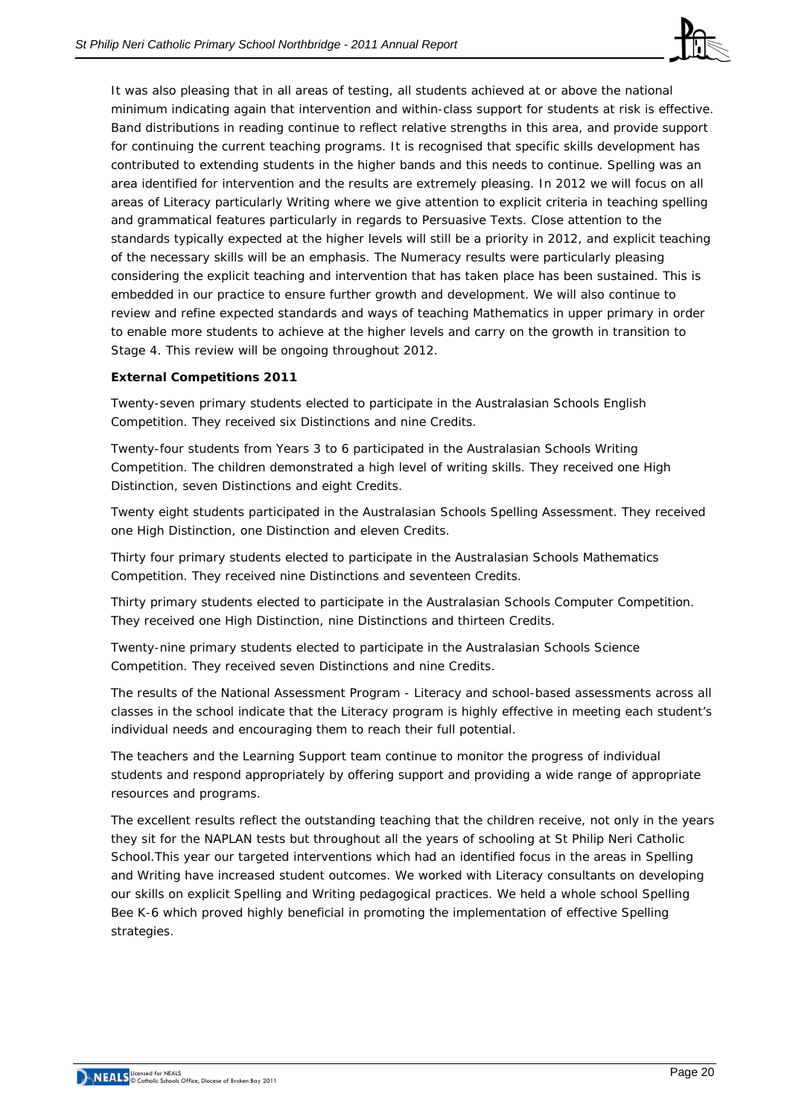

It was also pleasing that in all areas of testing, all students achieved at or above the national minimum indicating again that intervention and within-class support for students at risk is effective. Band distributions in reading continue to reflect relative strengths in this area, and provide support for continuing the current teaching programs. It is recognised that specific skills development has contributed to extending students in the higher bands and this needs to continue. Spelling was an area identified for intervention and the results are extremely pleasing. In 2012 we will focus on all areas of Literacy particularly Writing where we give attention to explicit criteria in teaching spelling and grammatical features particularly in regards to Persuasive Texts. Close attention to the standards typically expected at the higher levels will still be a priority in 2012, and explicit teaching of the necessary skills will be an emphasis. The Numeracy results were particularly pleasing considering the explicit teaching and intervention that has taken place has been sustained. This is embedded in our practice to ensure further growth and development. We will also continue to review and refine expected standards and ways of teaching Mathematics in upper primary in order to enable more students to achieve at the higher levels and carry on the growth in transition to Stage 4. This review will be ongoing throughout 2012.

## **External Competitions 2011**

Twenty-seven primary students elected to participate in the Australasian Schools English Competition. They received six Distinctions and nine Credits.

Twenty-four students from Years 3 to 6 participated in the Australasian Schools Writing Competition. The children demonstrated a high level of writing skills. They received one High Distinction, seven Distinctions and eight Credits.

Twenty eight students participated in the Australasian Schools Spelling Assessment. They received one High Distinction, one Distinction and eleven Credits.

Thirty four primary students elected to participate in the Australasian Schools Mathematics Competition. They received nine Distinctions and seventeen Credits.

Thirty primary students elected to participate in the Australasian Schools Computer Competition. They received one High Distinction, nine Distinctions and thirteen Credits.

Twenty-nine primary students elected to participate in the Australasian Schools Science Competition. They received seven Distinctions and nine Credits.

The results of the National Assessment Program - Literacy and school-based assessments across all classes in the school indicate that the Literacy program is highly effective in meeting each student's individual needs and encouraging them to reach their full potential.

The teachers and the Learning Support team continue to monitor the progress of individual students and respond appropriately by offering support and providing a wide range of appropriate resources and programs.

The excellent results reflect the outstanding teaching that the children receive, not only in the years they sit for the NAPLAN tests but throughout all the years of schooling at St Philip Neri Catholic School.This year our targeted interventions which had an identified focus in the areas in Spelling and Writing have increased student outcomes. We worked with Literacy consultants on developing our skills on explicit Spelling and Writing pedagogical practices. We held a whole school Spelling Bee K-6 which proved highly beneficial in promoting the implementation of effective Spelling strategies.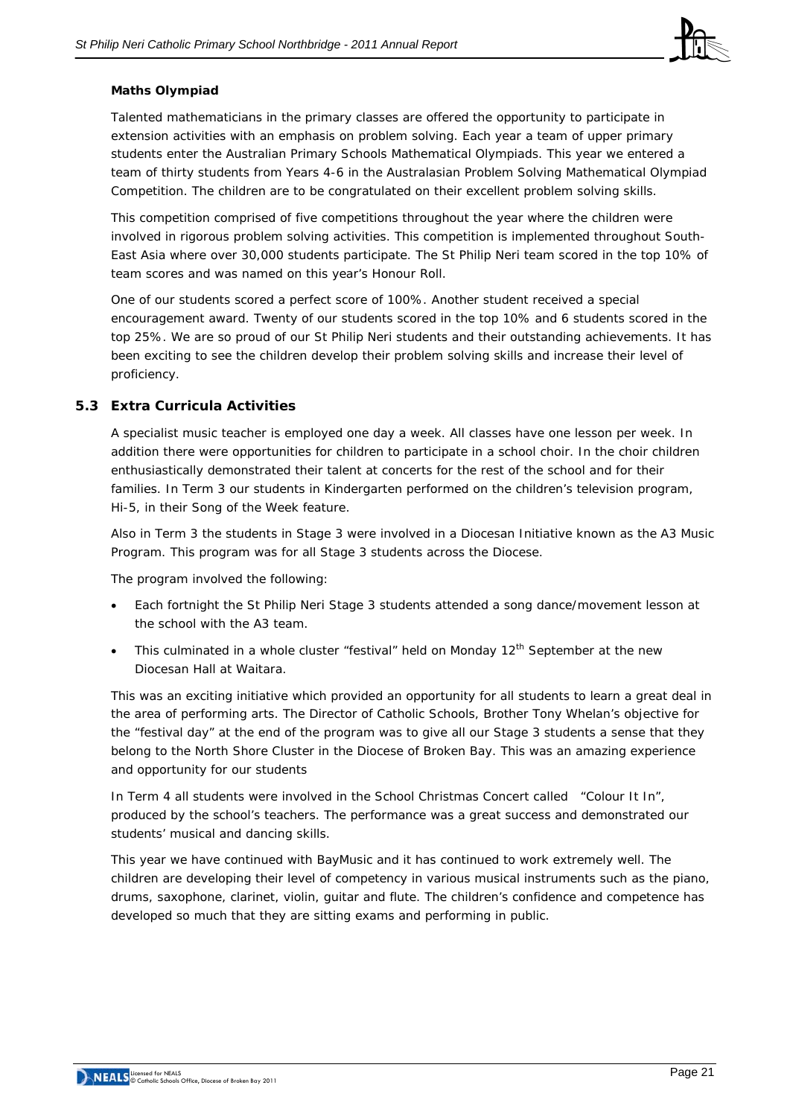

#### **Maths Olympiad**

Talented mathematicians in the primary classes are offered the opportunity to participate in extension activities with an emphasis on problem solving. Each year a team of upper primary students enter the Australian Primary Schools Mathematical Olympiads. This year we entered a team of thirty students from Years 4-6 in the Australasian Problem Solving Mathematical Olympiad Competition. The children are to be congratulated on their excellent problem solving skills.

This competition comprised of five competitions throughout the year where the children were involved in rigorous problem solving activities. This competition is implemented throughout South-East Asia where over 30,000 students participate. The St Philip Neri team scored in the top 10% of team scores and was named on this year's Honour Roll.

One of our students scored a perfect score of 100%. Another student received a special encouragement award. Twenty of our students scored in the top 10% and 6 students scored in the top 25%. We are so proud of our St Philip Neri students and their outstanding achievements. It has been exciting to see the children develop their problem solving skills and increase their level of proficiency.

## **5.3 Extra Curricula Activities**

A specialist music teacher is employed one day a week. All classes have one lesson per week. In addition there were opportunities for children to participate in a school choir. In the choir children enthusiastically demonstrated their talent at concerts for the rest of the school and for their families. In Term 3 our students in Kindergarten performed on the children's television program, Hi-5, in their Song of the Week feature.

Also in Term 3 the students in Stage 3 were involved in a Diocesan Initiative known as the A3 Music Program. This program was for all Stage 3 students across the Diocese.

The program involved the following:

- Each fortnight the St Philip Neri Stage 3 students attended a song dance/movement lesson at the school with the A3 team.
- This culminated in a whole cluster "festival" held on Monday  $12<sup>th</sup>$  September at the new Diocesan Hall at Waitara.

This was an exciting initiative which provided an opportunity for all students to learn a great deal in the area of performing arts. The Director of Catholic Schools, Brother Tony Whelan's objective for the "festival day" at the end of the program was to give all our Stage 3 students a sense that they belong to the North Shore Cluster in the Diocese of Broken Bay. This was an amazing experience and opportunity for our students

In Term 4 all students were involved in the School Christmas Concert called "Colour It In", produced by the school's teachers. The performance was a great success and demonstrated our students' musical and dancing skills.

This year we have continued with BayMusic and it has continued to work extremely well. The children are developing their level of competency in various musical instruments such as the piano, drums, saxophone, clarinet, violin, guitar and flute. The children's confidence and competence has developed so much that they are sitting exams and performing in public.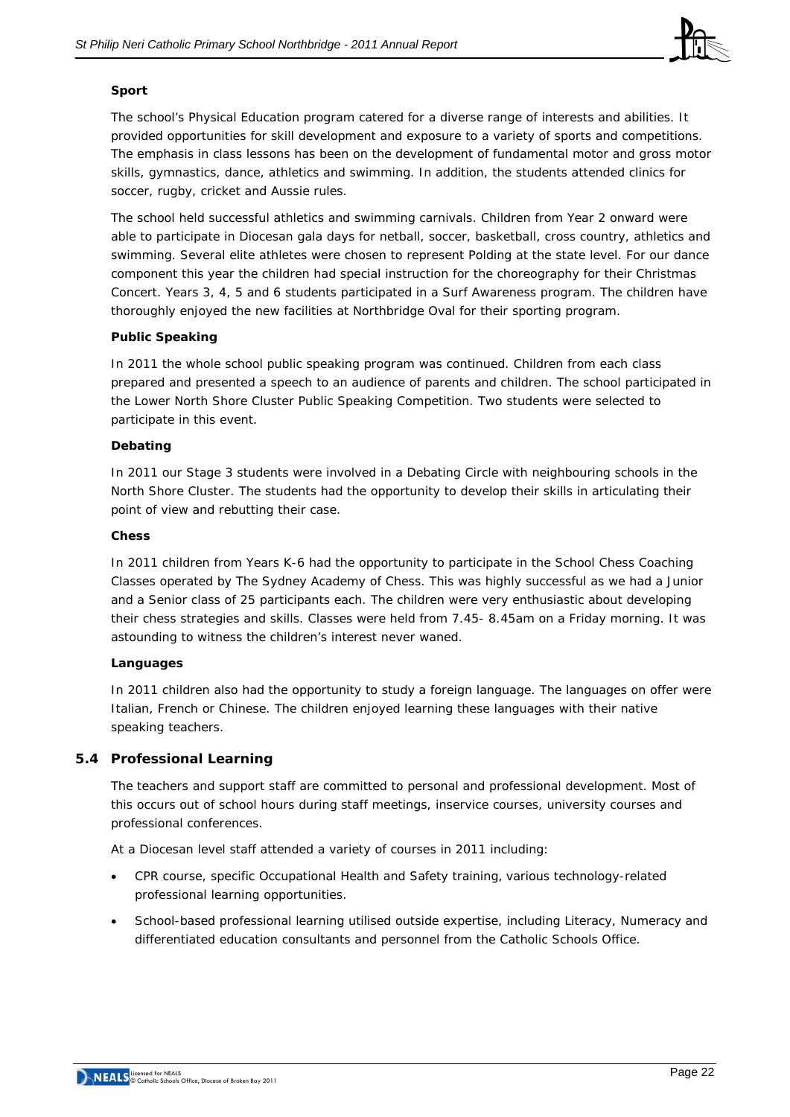

## **Sport**

The school's Physical Education program catered for a diverse range of interests and abilities. It provided opportunities for skill development and exposure to a variety of sports and competitions. The emphasis in class lessons has been on the development of fundamental motor and gross motor skills, gymnastics, dance, athletics and swimming. In addition, the students attended clinics for soccer, rugby, cricket and Aussie rules.

The school held successful athletics and swimming carnivals. Children from Year 2 onward were able to participate in Diocesan gala days for netball, soccer, basketball, cross country, athletics and swimming. Several elite athletes were chosen to represent Polding at the state level. For our dance component this year the children had special instruction for the choreography for their Christmas Concert. Years 3, 4, 5 and 6 students participated in a Surf Awareness program. The children have thoroughly enjoyed the new facilities at Northbridge Oval for their sporting program.

## **Public Speaking**

In 2011 the whole school public speaking program was continued. Children from each class prepared and presented a speech to an audience of parents and children. The school participated in the Lower North Shore Cluster Public Speaking Competition. Two students were selected to participate in this event.

## **Debating**

In 2011 our Stage 3 students were involved in a Debating Circle with neighbouring schools in the North Shore Cluster. The students had the opportunity to develop their skills in articulating their point of view and rebutting their case.

## **Chess**

In 2011 children from Years K-6 had the opportunity to participate in the School Chess Coaching Classes operated by The Sydney Academy of Chess. This was highly successful as we had a Junior and a Senior class of 25 participants each. The children were very enthusiastic about developing their chess strategies and skills. Classes were held from 7.45- 8.45am on a Friday morning. It was astounding to witness the children's interest never waned.

## **Languages**

In 2011 children also had the opportunity to study a foreign language. The languages on offer were Italian, French or Chinese. The children enjoyed learning these languages with their native speaking teachers.

## **5.4 Professional Learning**

The teachers and support staff are committed to personal and professional development. Most of this occurs out of school hours during staff meetings, inservice courses, university courses and professional conferences.

At a Diocesan level staff attended a variety of courses in 2011 including:

- CPR course, specific Occupational Health and Safety training, various technology-related professional learning opportunities.
- School-based professional learning utilised outside expertise, including Literacy, Numeracy and differentiated education consultants and personnel from the Catholic Schools Office.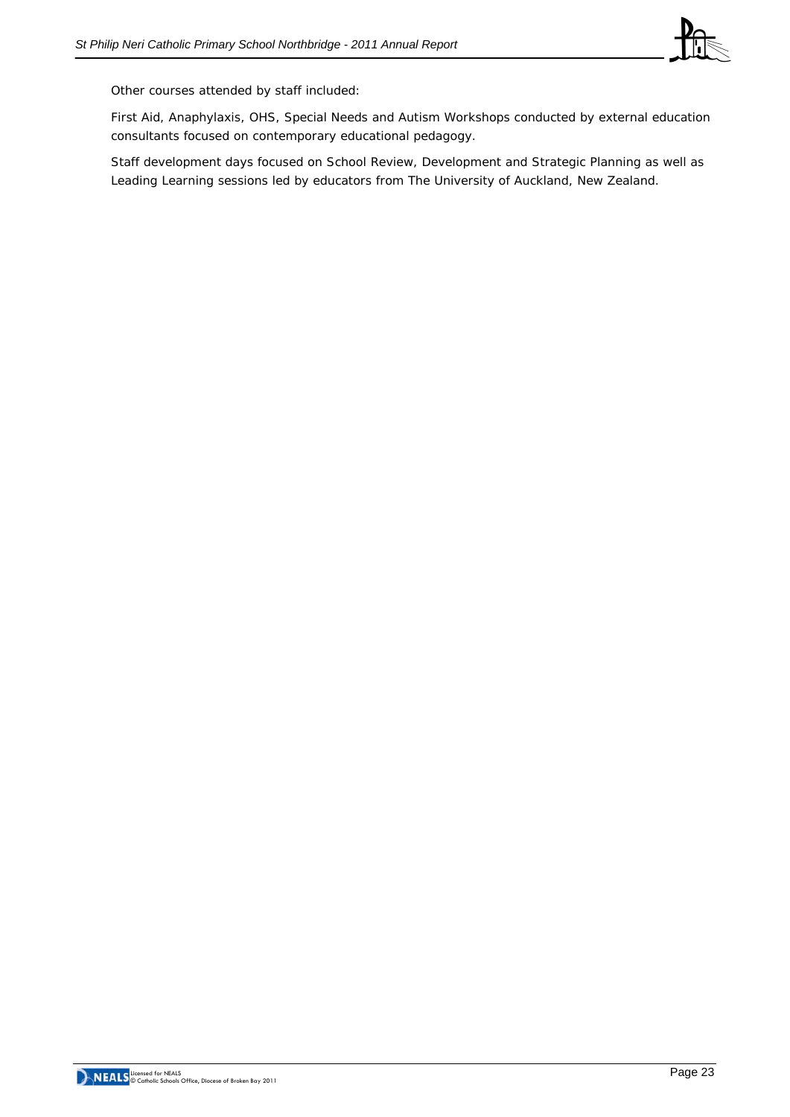

Other courses attended by staff included:

First Aid, Anaphylaxis, OHS, Special Needs and Autism Workshops conducted by external education consultants focused on contemporary educational pedagogy.

Staff development days focused on School Review, Development and Strategic Planning as well as Leading Learning sessions led by educators from The University of Auckland, New Zealand.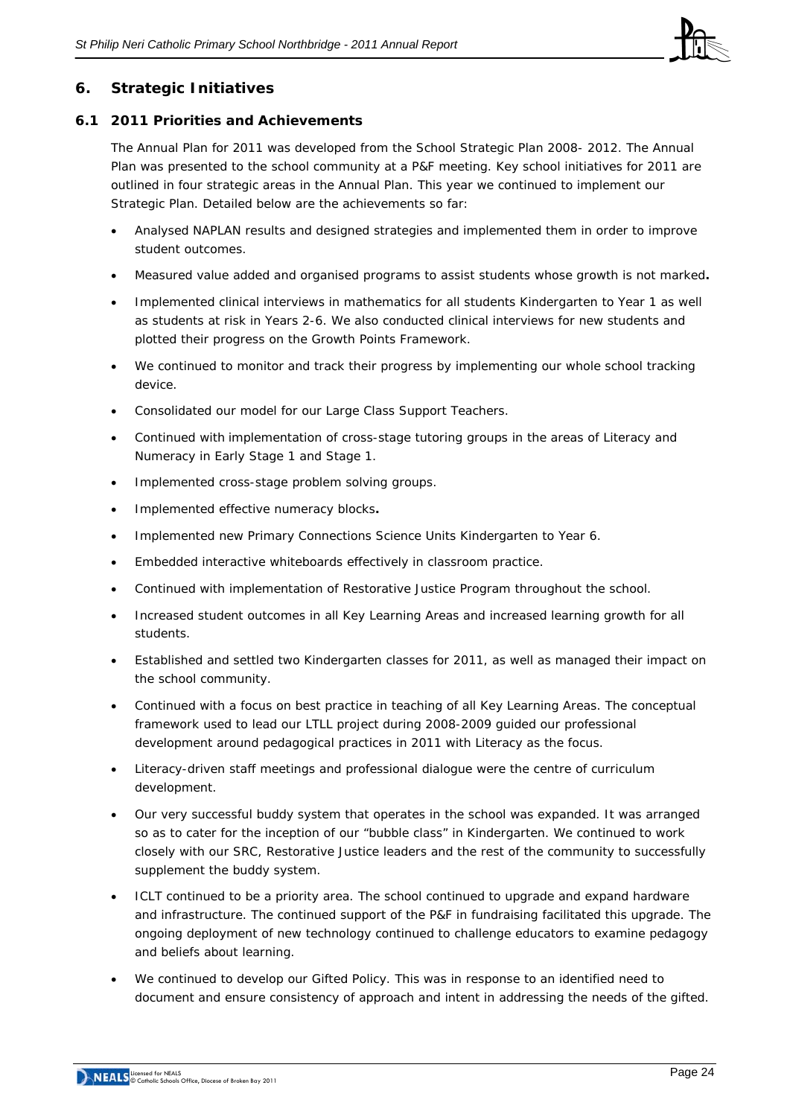

## **6. Strategic Initiatives**

## **6.1 2011 Priorities and Achievements**

The Annual Plan for 2011 was developed from the School Strategic Plan 2008- 2012. The Annual Plan was presented to the school community at a P&F meeting. Key school initiatives for 2011 are outlined in four strategic areas in the Annual Plan. This year we continued to implement our Strategic Plan. Detailed below are the achievements so far:

- Analysed NAPLAN results and designed strategies and implemented them in order to improve student outcomes.
- Measured value added and organised programs to assist students whose growth is not marked**.**
- Implemented clinical interviews in mathematics for all students Kindergarten to Year 1 as well as students at risk in Years 2-6. We also conducted clinical interviews for new students and plotted their progress on the Growth Points Framework.
- We continued to monitor and track their progress by implementing our whole school tracking device.
- Consolidated our model for our Large Class Support Teachers.
- Continued with implementation of cross-stage tutoring groups in the areas of Literacy and Numeracy in Early Stage 1 and Stage 1.
- Implemented cross-stage problem solving groups.
- Implemented effective numeracy blocks**.**
- Implemented new Primary Connections Science Units Kindergarten to Year 6.
- Embedded interactive whiteboards effectively in classroom practice.
- Continued with implementation of Restorative Justice Program throughout the school.
- Increased student outcomes in all Key Learning Areas and increased learning growth for all students.
- Established and settled two Kindergarten classes for 2011, as well as managed their impact on the school community.
- Continued with a focus on best practice in teaching of all Key Learning Areas. The conceptual framework used to lead our LTLL project during 2008-2009 guided our professional development around pedagogical practices in 2011 with Literacy as the focus.
- Literacy-driven staff meetings and professional dialogue were the centre of curriculum development.
- Our very successful buddy system that operates in the school was expanded. It was arranged so as to cater for the inception of our "bubble class" in Kindergarten. We continued to work closely with our SRC, Restorative Justice leaders and the rest of the community to successfully supplement the buddy system.
- ICLT continued to be a priority area. The school continued to upgrade and expand hardware and infrastructure. The continued support of the P&F in fundraising facilitated this upgrade. The ongoing deployment of new technology continued to challenge educators to examine pedagogy and beliefs about learning.
- We continued to develop our Gifted Policy. This was in response to an identified need to document and ensure consistency of approach and intent in addressing the needs of the gifted.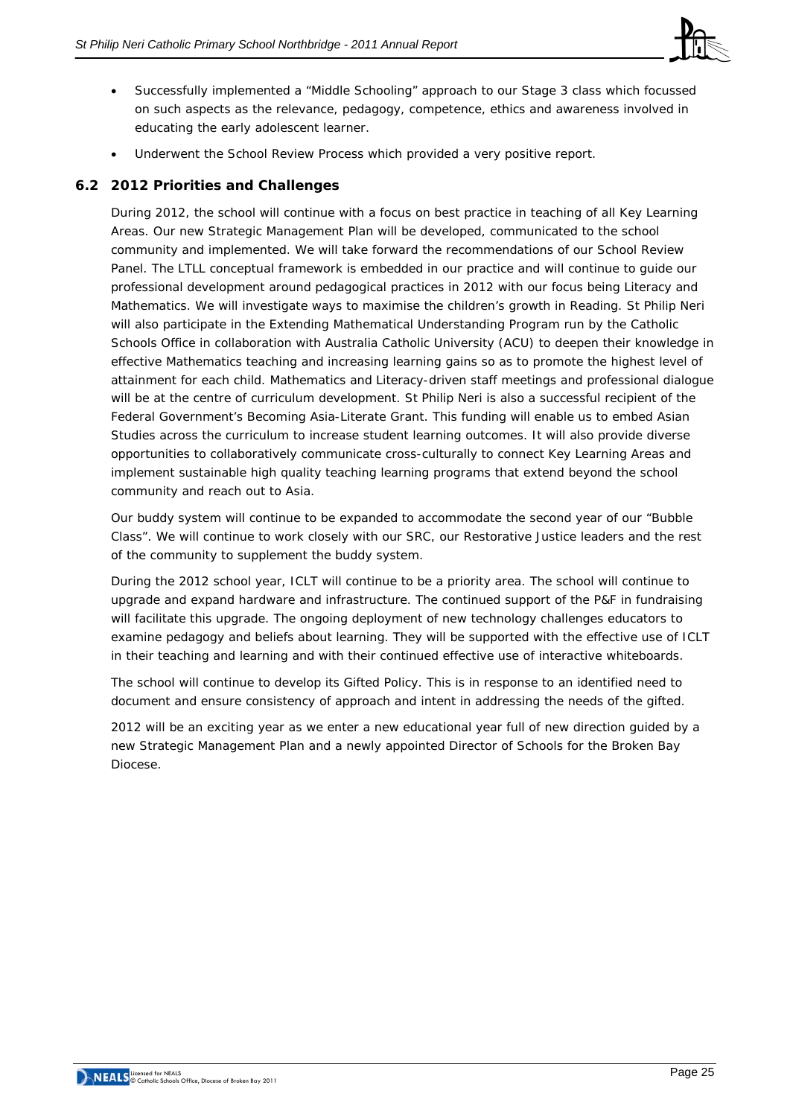

- Successfully implemented a "Middle Schooling" approach to our Stage 3 class which focussed on such aspects as the relevance, pedagogy, competence, ethics and awareness involved in educating the early adolescent learner.
- Underwent the School Review Process which provided a very positive report.

## **6.2 2012 Priorities and Challenges**

During 2012, the school will continue with a focus on best practice in teaching of all Key Learning Areas. Our new Strategic Management Plan will be developed, communicated to the school community and implemented. We will take forward the recommendations of our School Review Panel. The LTLL conceptual framework is embedded in our practice and will continue to guide our professional development around pedagogical practices in 2012 with our focus being Literacy and Mathematics. We will investigate ways to maximise the children's growth in Reading. St Philip Neri will also participate in the Extending Mathematical Understanding Program run by the Catholic Schools Office in collaboration with Australia Catholic University (ACU) to deepen their knowledge in effective Mathematics teaching and increasing learning gains so as to promote the highest level of attainment for each child. Mathematics and Literacy-driven staff meetings and professional dialogue will be at the centre of curriculum development. St Philip Neri is also a successful recipient of the Federal Government's Becoming Asia-Literate Grant. This funding will enable us to embed Asian Studies across the curriculum to increase student learning outcomes. It will also provide diverse opportunities to collaboratively communicate cross-culturally to connect Key Learning Areas and implement sustainable high quality teaching learning programs that extend beyond the school community and reach out to Asia.

Our buddy system will continue to be expanded to accommodate the second year of our "Bubble Class". We will continue to work closely with our SRC, our Restorative Justice leaders and the rest of the community to supplement the buddy system.

During the 2012 school year, ICLT will continue to be a priority area. The school will continue to upgrade and expand hardware and infrastructure. The continued support of the P&F in fundraising will facilitate this upgrade. The ongoing deployment of new technology challenges educators to examine pedagogy and beliefs about learning. They will be supported with the effective use of ICLT in their teaching and learning and with their continued effective use of interactive whiteboards.

The school will continue to develop its Gifted Policy. This is in response to an identified need to document and ensure consistency of approach and intent in addressing the needs of the gifted.

2012 will be an exciting year as we enter a new educational year full of new direction guided by a new Strategic Management Plan and a newly appointed Director of Schools for the Broken Bay Diocese.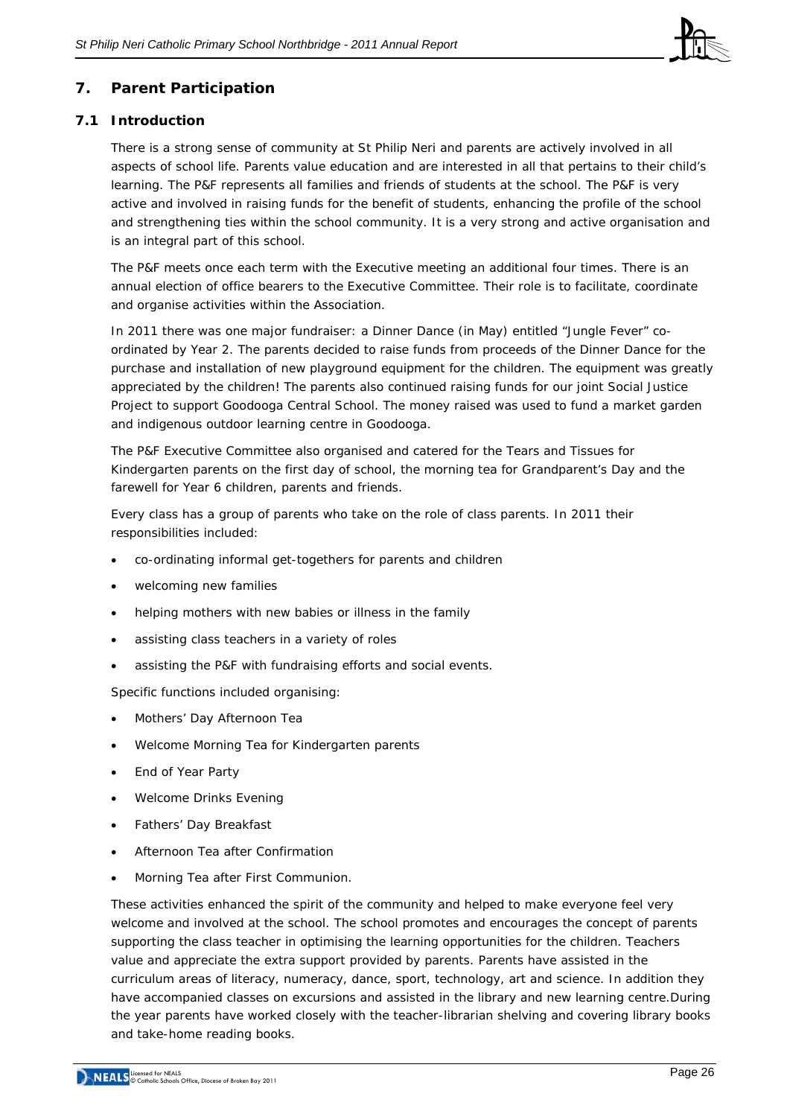

# **7. Parent Participation**

## **7.1 Introduction**

There is a strong sense of community at St Philip Neri and parents are actively involved in all aspects of school life. Parents value education and are interested in all that pertains to their child's learning. The P&F represents all families and friends of students at the school. The P&F is very active and involved in raising funds for the benefit of students, enhancing the profile of the school and strengthening ties within the school community. It is a very strong and active organisation and is an integral part of this school.

The P&F meets once each term with the Executive meeting an additional four times. There is an annual election of office bearers to the Executive Committee. Their role is to facilitate, coordinate and organise activities within the Association.

In 2011 there was one major fundraiser: a Dinner Dance (in May) entitled "Jungle Fever" coordinated by Year 2. The parents decided to raise funds from proceeds of the Dinner Dance for the purchase and installation of new playground equipment for the children. The equipment was greatly appreciated by the children! The parents also continued raising funds for our joint Social Justice Project to support Goodooga Central School. The money raised was used to fund a market garden and indigenous outdoor learning centre in Goodooga.

The P&F Executive Committee also organised and catered for the Tears and Tissues for Kindergarten parents on the first day of school, the morning tea for Grandparent's Day and the farewell for Year 6 children, parents and friends.

Every class has a group of parents who take on the role of class parents. In 2011 their responsibilities included:

- co-ordinating informal get-togethers for parents and children
- welcoming new families
- helping mothers with new babies or illness in the family
- assisting class teachers in a variety of roles
- assisting the P&F with fundraising efforts and social events.

Specific functions included organising:

- Mothers' Day Afternoon Tea
- Welcome Morning Tea for Kindergarten parents
- End of Year Party
- Welcome Drinks Evening
- Fathers' Day Breakfast
- Afternoon Tea after Confirmation
- Morning Tea after First Communion.

These activities enhanced the spirit of the community and helped to make everyone feel very welcome and involved at the school. The school promotes and encourages the concept of parents supporting the class teacher in optimising the learning opportunities for the children. Teachers value and appreciate the extra support provided by parents. Parents have assisted in the curriculum areas of literacy, numeracy, dance, sport, technology, art and science. In addition they have accompanied classes on excursions and assisted in the library and new learning centre.During the year parents have worked closely with the teacher-librarian shelving and covering library books and take-home reading books.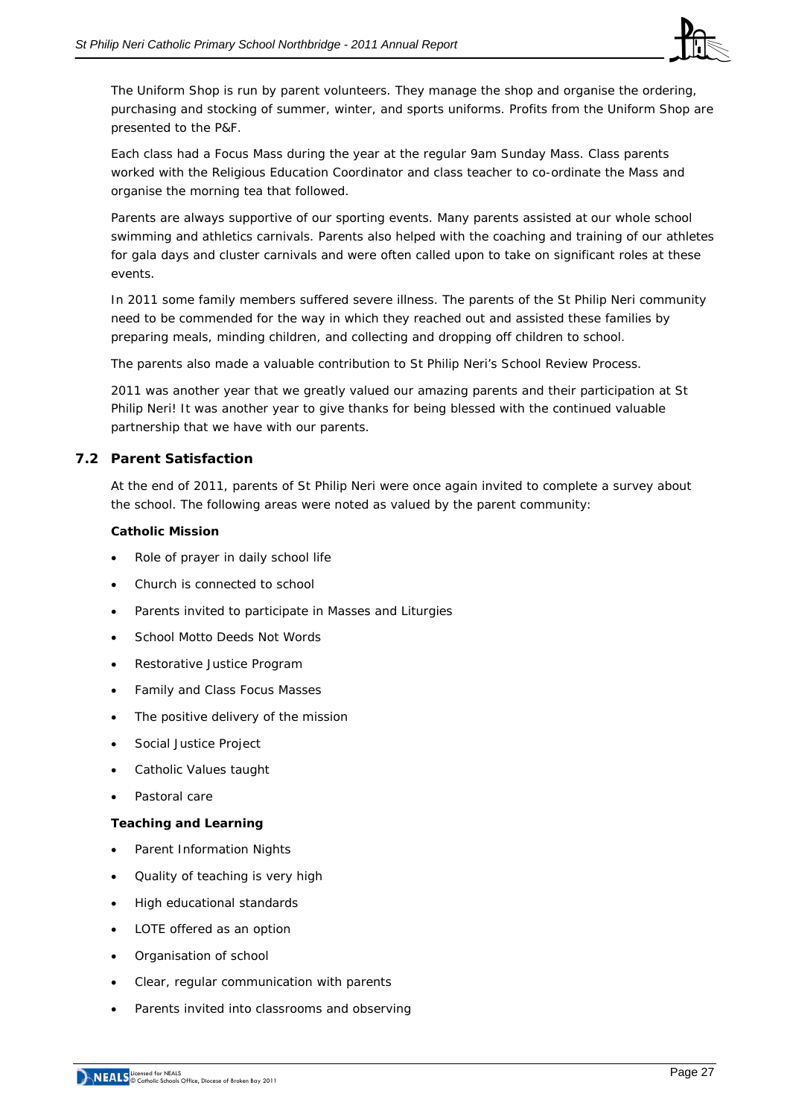

The Uniform Shop is run by parent volunteers. They manage the shop and organise the ordering, purchasing and stocking of summer, winter, and sports uniforms. Profits from the Uniform Shop are presented to the P&F.

Each class had a Focus Mass during the year at the regular 9am Sunday Mass. Class parents worked with the Religious Education Coordinator and class teacher to co-ordinate the Mass and organise the morning tea that followed.

Parents are always supportive of our sporting events. Many parents assisted at our whole school swimming and athletics carnivals. Parents also helped with the coaching and training of our athletes for gala days and cluster carnivals and were often called upon to take on significant roles at these events.

In 2011 some family members suffered severe illness. The parents of the St Philip Neri community need to be commended for the way in which they reached out and assisted these families by preparing meals, minding children, and collecting and dropping off children to school.

The parents also made a valuable contribution to St Philip Neri's School Review Process.

2011 was another year that we greatly valued our amazing parents and their participation at St Philip Neri! It was another year to give thanks for being blessed with the continued valuable partnership that we have with our parents.

## **7.2 Parent Satisfaction**

At the end of 2011, parents of St Philip Neri were once again invited to complete a survey about the school. The following areas were noted as valued by the parent community:

## **Catholic Mission**

- Role of prayer in daily school life
- Church is connected to school
- Parents invited to participate in Masses and Liturgies
- School Motto Deeds Not Words
- Restorative Justice Program
- Family and Class Focus Masses
- The positive delivery of the mission
- Social Justice Project
- Catholic Values taught
- Pastoral care

#### **Teaching and Learning**

- Parent Information Nights
- Quality of teaching is very high
- High educational standards
- LOTE offered as an option
- Organisation of school
- Clear, regular communication with parents
- Parents invited into classrooms and observing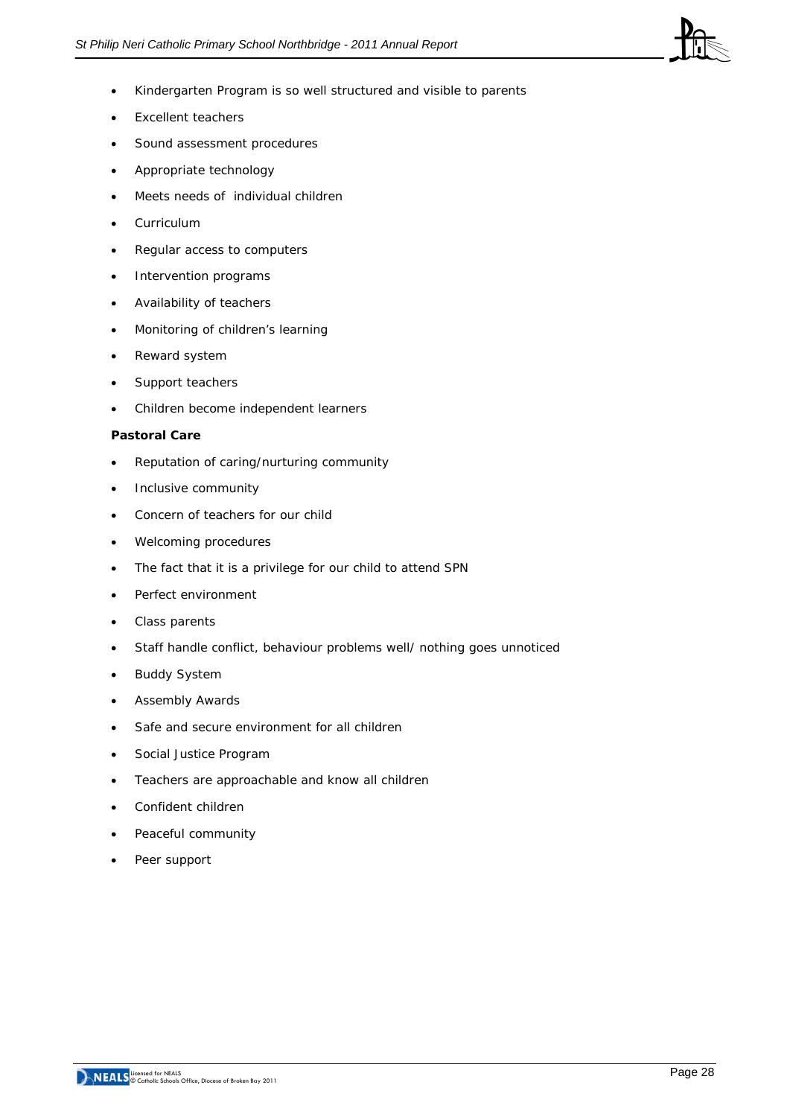

- Kindergarten Program is so well structured and visible to parents
- Excellent teachers
- Sound assessment procedures
- Appropriate technology
- Meets needs of individual children
- **Curriculum**
- Regular access to computers
- Intervention programs
- Availability of teachers
- Monitoring of children's learning
- Reward system
- Support teachers
- Children become independent learners

#### **Pastoral Care**

- Reputation of caring/nurturing community
- Inclusive community
- Concern of teachers for our child
- Welcoming procedures
- The fact that it is a privilege for our child to attend SPN
- Perfect environment
- Class parents
- Staff handle conflict, behaviour problems well/ nothing goes unnoticed
- **Buddy System**
- Assembly Awards
- Safe and secure environment for all children
- Social Justice Program
- Teachers are approachable and know all children
- Confident children
- Peaceful community
- Peer support